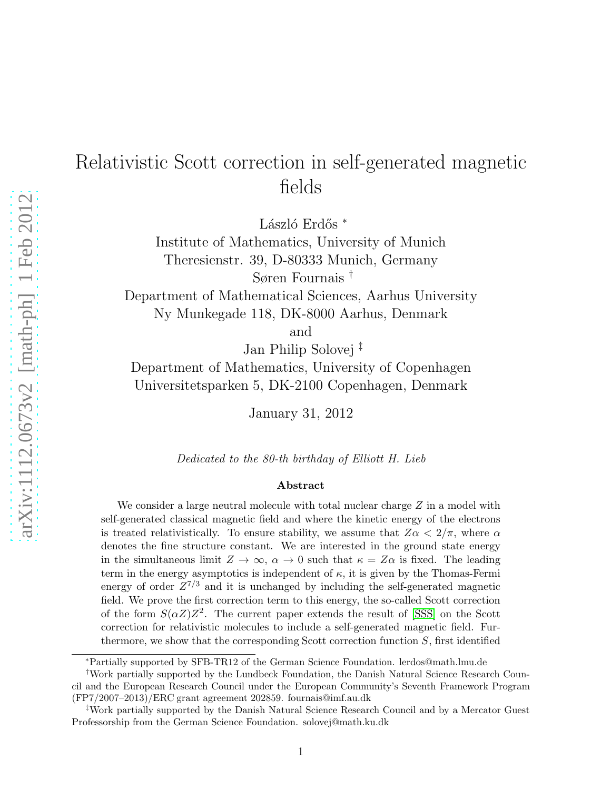# Relativistic Scott correction in self-generated magnetic fields

László Erdős <sup>∗</sup>

Institute of Mathematics, University of Munich Theresienstr. 39, D-80333 Munich, Germany Søren Fournais †

Department of Mathematical Sciences, Aarhus University Ny Munkegade 118, DK-8000 Aarhus, Denmark

and

Jan Philip Solovej ‡

Department of Mathematics, University of Copenhagen Universitetsparken 5, DK-2100 Copenhagen, Denmark

January 31, 2012

Dedicated to the 80-th birthday of Elliott H. Lieb

#### Abstract

We consider a large neutral molecule with total nuclear charge  $Z$  in a model with self-generated classical magnetic field and where the kinetic energy of the electrons is treated relativistically. To ensure stability, we assume that  $Z\alpha < 2/\pi$ , where  $\alpha$ denotes the fine structure constant. We are interested in the ground state energy in the simultaneous limit  $Z \to \infty$ ,  $\alpha \to 0$  such that  $\kappa = Z\alpha$  is fixed. The leading term in the energy asymptotics is independent of  $\kappa$ , it is given by the Thomas-Fermi energy of order  $Z^{7/3}$  and it is unchanged by including the self-generated magnetic field. We prove the first correction term to this energy, the so-called Scott correction of the form  $S(\alpha Z)Z^2$ . The current paper extends the result of [\[SSS\]](#page-33-0) on the Scott correction for relativistic molecules to include a self-generated magnetic field. Furthermore, we show that the corresponding Scott correction function  $S$ , first identified

<sup>∗</sup>Partially supported by SFB-TR12 of the German Science Foundation. lerdos@math.lmu.de

<sup>†</sup>Work partially supported by the Lundbeck Foundation, the Danish Natural Science Research Council and the European Research Council under the European Community's Seventh Framework Program (FP7/2007–2013)/ERC grant agreement 202859. fournais@imf.au.dk

<sup>‡</sup>Work partially supported by the Danish Natural Science Research Council and by a Mercator Guest Professorship from the German Science Foundation. solovej@math.ku.dk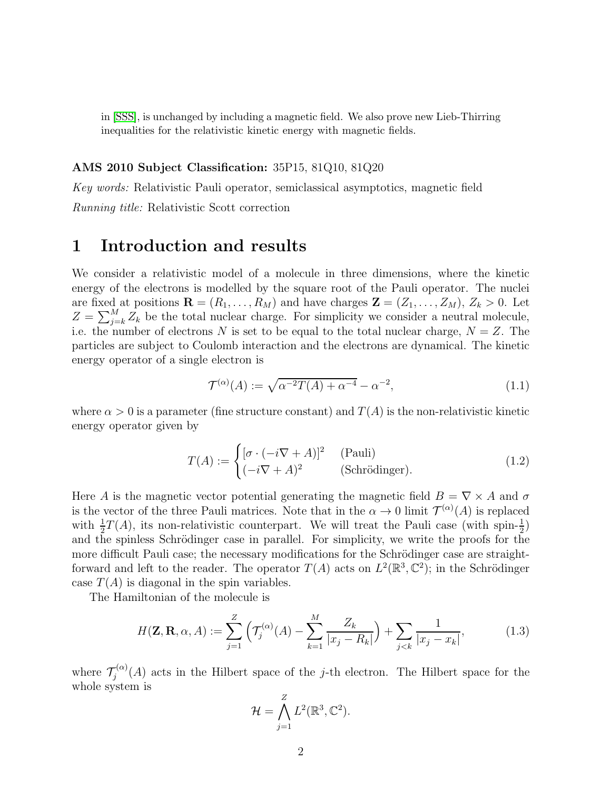in [\[SSS\]](#page-33-0), is unchanged by including a magnetic field. We also prove new Lieb-Thirring inequalities for the relativistic kinetic energy with magnetic fields.

#### AMS 2010 Subject Classification: 35P15, 81Q10, 81Q20

Key words: Relativistic Pauli operator, semiclassical asymptotics, magnetic field

Running title: Relativistic Scott correction

# 1 Introduction and results

We consider a relativistic model of a molecule in three dimensions, where the kinetic energy of the electrons is modelled by the square root of the Pauli operator. The nuclei are fixed at positions  $\mathbf{R} = (R_1, \ldots, R_M)$  and have charges  $\mathbf{Z} = (Z_1, \ldots, Z_M)$ ,  $Z_k > 0$ . Let  $Z = \sum_{j=k}^{M} Z_k$  be the total nuclear charge. For simplicity we consider a neutral molecule, i.e. the number of electrons N is set to be equal to the total nuclear charge,  $N = Z$ . The particles are subject to Coulomb interaction and the electrons are dynamical. The kinetic energy operator of a single electron is

<span id="page-1-1"></span>
$$
\mathcal{T}^{(\alpha)}(A) := \sqrt{\alpha^{-2}T(A) + \alpha^{-4}} - \alpha^{-2},\tag{1.1}
$$

where  $\alpha > 0$  is a parameter (fine structure constant) and  $T(A)$  is the non-relativistic kinetic energy operator given by

$$
T(A) := \begin{cases} [\sigma \cdot (-i\nabla + A)]^2 & \text{(Pauli)}\\ (-i\nabla + A)^2 & \text{(Schrödinger)}. \end{cases}
$$
(1.2)

Here A is the magnetic vector potential generating the magnetic field  $B = \nabla \times A$  and  $\sigma$ is the vector of the three Pauli matrices. Note that in the  $\alpha \to 0$  limit  $\mathcal{T}^{(\alpha)}(A)$  is replaced with  $\frac{1}{2}T(A)$ , its non-relativistic counterpart. We will treat the Pauli case (with spin- $\frac{1}{2}$ ) and the spinless Schrödinger case in parallel. For simplicity, we write the proofs for the more difficult Pauli case; the necessary modifications for the Schrödinger case are straightforward and left to the reader. The operator  $T(A)$  acts on  $L^2(\mathbb{R}^3, \mathbb{C}^2)$ ; in the Schrödinger case  $T(A)$  is diagonal in the spin variables.

The Hamiltonian of the molecule is

$$
H(\mathbf{Z}, \mathbf{R}, \alpha, A) := \sum_{j=1}^{Z} \left( \mathcal{T}_{j}^{(\alpha)}(A) - \sum_{k=1}^{M} \frac{Z_{k}}{|x_{j} - R_{k}|} \right) + \sum_{j < k} \frac{1}{|x_{j} - x_{k}|},\tag{1.3}
$$

where  $\mathcal{T}_j^{(\alpha)}$  $\zeta_j^{(\alpha)}(A)$  acts in the Hilbert space of the j-th electron. The Hilbert space for the whole system is

<span id="page-1-0"></span>
$$
\mathcal{H} = \bigwedge_{j=1}^{Z} L^2(\mathbb{R}^3, \mathbb{C}^2).
$$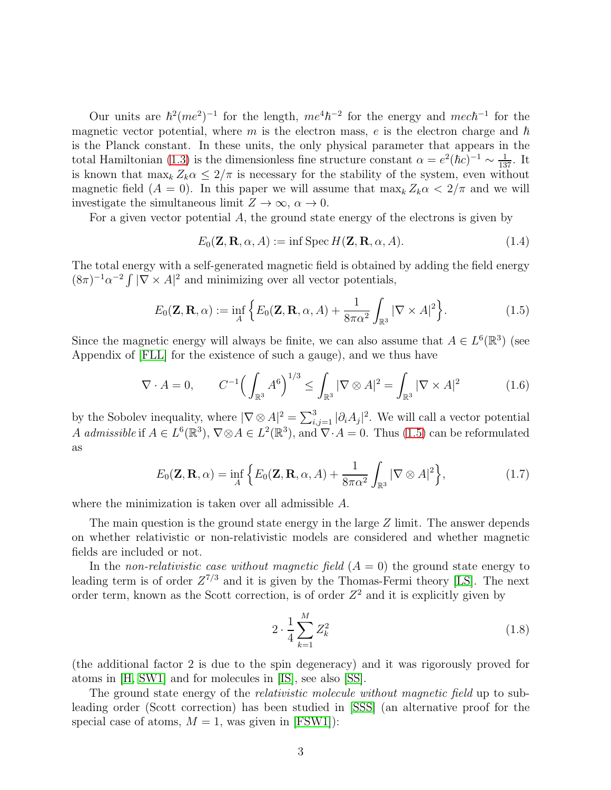Our units are  $\hbar^2 (me^2)^{-1}$  for the length,  $me^4 \hbar^{-2}$  for the energy and  $mec \hbar^{-1}$  for the magnetic vector potential, where  $m$  is the electron mass,  $e$  is the electron charge and  $\hbar$ is the Planck constant. In these units, the only physical parameter that appears in the total Hamiltonian [\(1.3\)](#page-1-0) is the dimensionless fine structure constant  $\alpha = e^2(\hbar c)^{-1} \sim \frac{1}{137}$ . It is known that  $\max_k Z_k \alpha \leq 2/\pi$  is necessary for the stability of the system, even without magnetic field  $(A = 0)$ . In this paper we will assume that  $\max_k Z_k \alpha < 2/\pi$  and we will investigate the simultaneous limit  $Z \to \infty$ ,  $\alpha \to 0$ .

For a given vector potential  $A$ , the ground state energy of the electrons is given by

<span id="page-2-0"></span>
$$
E_0(\mathbf{Z}, \mathbf{R}, \alpha, A) := \inf \operatorname{Spec} H(\mathbf{Z}, \mathbf{R}, \alpha, A). \tag{1.4}
$$

The total energy with a self-generated magnetic field is obtained by adding the field energy  $(8\pi)^{-1}\alpha^{-2}\int |\nabla \times A|^2$  and minimizing over all vector potentials,

$$
E_0(\mathbf{Z}, \mathbf{R}, \alpha) := \inf_A \left\{ E_0(\mathbf{Z}, \mathbf{R}, \alpha, A) + \frac{1}{8\pi\alpha^2} \int_{\mathbb{R}^3} |\nabla \times A|^2 \right\}.
$$
 (1.5)

Since the magnetic energy will always be finite, we can also assume that  $A \in L^{6}(\mathbb{R}^{3})$  (see Appendix of [\[FLL\]](#page-32-0) for the existence of such a gauge), and we thus have

$$
\nabla \cdot A = 0, \qquad C^{-1} \Big( \int_{\mathbb{R}^3} A^6 \Big)^{1/3} \le \int_{\mathbb{R}^3} |\nabla \otimes A|^2 = \int_{\mathbb{R}^3} |\nabla \times A|^2 \tag{1.6}
$$

by the Sobolev inequality, where  $|\nabla \otimes A|^2 = \sum_{i,j=1}^3 |\partial_i A_j|^2$ . We will call a vector potential A admissible if  $A \in L^{6}(\mathbb{R}^{3}), \nabla \otimes A \in L^{2}(\mathbb{R}^{3}),$  and  $\nabla \cdot A = 0$ . Thus [\(1.5\)](#page-2-0) can be reformulated as

$$
E_0(\mathbf{Z}, \mathbf{R}, \alpha) = \inf_A \left\{ E_0(\mathbf{Z}, \mathbf{R}, \alpha, A) + \frac{1}{8\pi\alpha^2} \int_{\mathbb{R}^3} |\nabla \otimes A|^2 \right\},\tag{1.7}
$$

where the minimization is taken over all admissible A.

The main question is the ground state energy in the large  $Z$  limit. The answer depends on whether relativistic or non-relativistic models are considered and whether magnetic fields are included or not.

In the non-relativistic case without magnetic field  $(A = 0)$  the ground state energy to leading term is of order  $Z^{7/3}$  and it is given by the Thomas-Fermi theory [\[LS\]](#page-32-1). The next order term, known as the Scott correction, is of order  $Z^2$  and it is explicitly given by

<span id="page-2-1"></span>
$$
2 \cdot \frac{1}{4} \sum_{k=1}^{M} Z_k^2 \tag{1.8}
$$

(the additional factor 2 is due to the spin degeneracy) and it was rigorously proved for atoms in [\[H,](#page-32-2) [SW1\]](#page-32-3) and for molecules in [\[IS\]](#page-32-4), see also [\[SS\]](#page-32-5).

The ground state energy of the *relativistic molecule without magnetic field* up to subleading order (Scott correction) has been studied in [\[SSS\]](#page-33-0) (an alternative proof for the special case of atoms,  $M = 1$ , was given in [\[FSW1\]](#page-32-6)):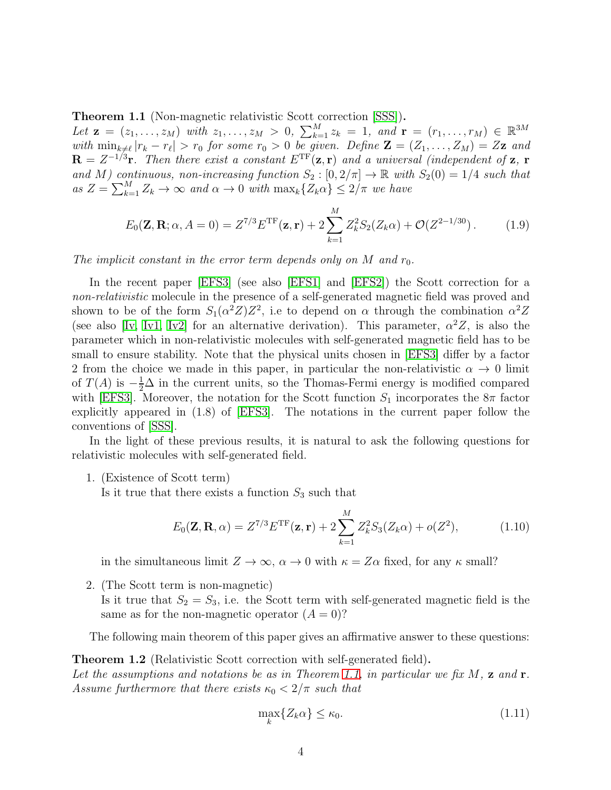<span id="page-3-0"></span>Theorem 1.1 (Non-magnetic relativistic Scott correction [\[SSS\]](#page-33-0)).

Let  $\mathbf{z} = (z_1, \ldots, z_M)$  with  $z_1, \ldots, z_M > 0$ ,  $\sum_{k=1}^M z_k = 1$ , and  $\mathbf{r} = (r_1, \ldots, r_M) \in \mathbb{R}^{3M}$ with  $\min_{k\neq\ell}|r_k - r_\ell| > r_0$  for some  $r_0 > 0$  be given. Define  $\mathbf{Z} = (Z_1, \ldots, Z_M) = Z\mathbf{z}$  and  $\mathbf{R} = Z^{-1/3}\mathbf{r}$ . Then there exist a constant  $E^{\rm TF}(\mathbf{z}, \mathbf{r})$  and a universal (independent of  $\mathbf{z}$ ,  $\mathbf{r}$ and M) continuous, non-increasing function  $S_2 : [0, 2/\pi] \to \mathbb{R}$  with  $S_2(0) = 1/4$  such that as  $Z = \sum_{k=1}^{M} Z_k \to \infty$  and  $\alpha \to 0$  with  $\max_k \{Z_k \alpha\} \leq 2/\pi$  we have

<span id="page-3-2"></span>
$$
E_0(\mathbf{Z}, \mathbf{R}; \alpha, A = 0) = Z^{7/3} E^{\text{TF}}(\mathbf{z}, \mathbf{r}) + 2 \sum_{k=1}^{M} Z_k^2 S_2(Z_k \alpha) + \mathcal{O}(Z^{2-1/30}). \tag{1.9}
$$

The implicit constant in the error term depends only on M and  $r_0$ .

In the recent paper [\[EFS3\]](#page-32-7) (see also [\[EFS1\]](#page-31-0) and [\[EFS2\]](#page-31-1)) the Scott correction for a non-relativistic molecule in the presence of a self-generated magnetic field was proved and shown to be of the form  $S_1(\alpha^2 Z)Z^2$ , i.e to depend on  $\alpha$  through the combination  $\alpha^2 Z$ (see also [\[Iv,](#page-32-8) [Iv1,](#page-32-9) [Iv2\]](#page-32-10) for an alternative derivation). This parameter,  $\alpha^2 Z$ , is also the parameter which in non-relativistic molecules with self-generated magnetic field has to be small to ensure stability. Note that the physical units chosen in [\[EFS3\]](#page-32-7) differ by a factor 2 from the choice we made in this paper, in particular the non-relativistic  $\alpha \to 0$  limit of  $T(A)$  is  $-\frac{1}{2}\Delta$  in the current units, so the Thomas-Fermi energy is modified compared with [\[EFS3\]](#page-32-7). Moreover, the notation for the Scott function  $S_1$  incorporates the  $8\pi$  factor explicitly appeared in (1.8) of [\[EFS3\]](#page-32-7). The notations in the current paper follow the conventions of [\[SSS\]](#page-33-0).

In the light of these previous results, it is natural to ask the following questions for relativistic molecules with self-generated field.

1. (Existence of Scott term)

Is it true that there exists a function  $S_3$  such that

$$
E_0(\mathbf{Z}, \mathbf{R}, \alpha) = Z^{7/3} E^{\text{TF}}(\mathbf{z}, \mathbf{r}) + 2 \sum_{k=1}^{M} Z_k^2 S_3(Z_k \alpha) + o(Z^2), \tag{1.10}
$$

in the simultaneous limit  $Z \to \infty$ ,  $\alpha \to 0$  with  $\kappa = Z\alpha$  fixed, for any  $\kappa$  small?

2. (The Scott term is non-magnetic) Is it true that  $S_2 = S_3$ , i.e. the Scott term with self-generated magnetic field is the same as for the non-magnetic operator  $(A = 0)$ ?

The following main theorem of this paper gives an affirmative answer to these questions:

<span id="page-3-1"></span>Theorem 1.2 (Relativistic Scott correction with self-generated field). Let the assumptions and notations be as in Theorem [1.1,](#page-3-0) in particular we fix  $M$ ,  $\mathbf{z}$  and  $\mathbf{r}$ . Assume furthermore that there exists  $\kappa_0 < 2/\pi$  such that

$$
\max_{k} \{ Z_k \alpha \} \le \kappa_0. \tag{1.11}
$$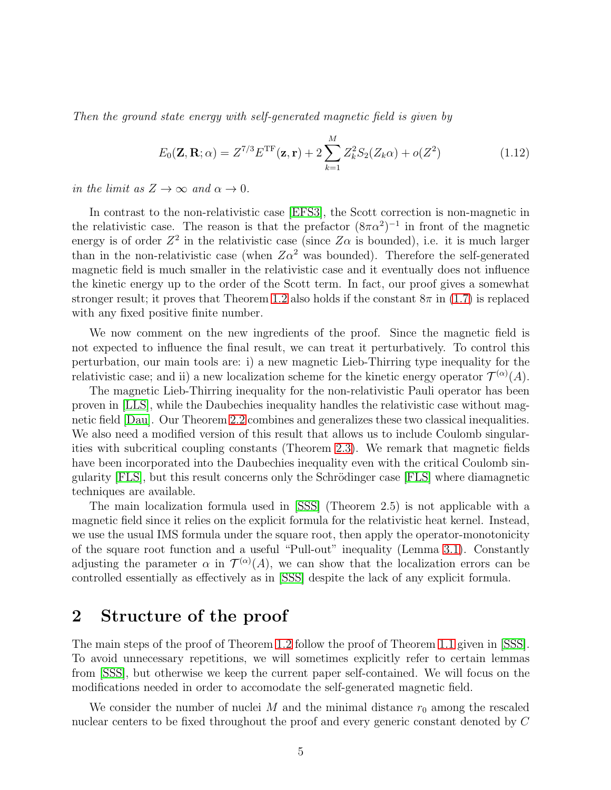Then the ground state energy with self-generated magnetic field is given by

<span id="page-4-0"></span>
$$
E_0(\mathbf{Z}, \mathbf{R}; \alpha) = Z^{7/3} E^{\mathrm{TF}}(\mathbf{z}, \mathbf{r}) + 2 \sum_{k=1}^{M} Z_k^2 S_2(Z_k \alpha) + o(Z^2)
$$
(1.12)

in the limit as  $Z \to \infty$  and  $\alpha \to 0$ .

In contrast to the non-relativistic case [\[EFS3\]](#page-32-7), the Scott correction is non-magnetic in the relativistic case. The reason is that the prefactor  $(8\pi\alpha^2)^{-1}$  in front of the magnetic energy is of order  $Z^2$  in the relativistic case (since  $Z\alpha$  is bounded), i.e. it is much larger than in the non-relativistic case (when  $Z\alpha^2$  was bounded). Therefore the self-generated magnetic field is much smaller in the relativistic case and it eventually does not influence the kinetic energy up to the order of the Scott term. In fact, our proof gives a somewhat stronger result; it proves that Theorem [1.2](#page-3-1) also holds if the constant  $8\pi$  in [\(1.7\)](#page-2-1) is replaced with any fixed positive finite number.

We now comment on the new ingredients of the proof. Since the magnetic field is not expected to influence the final result, we can treat it perturbatively. To control this perturbation, our main tools are: i) a new magnetic Lieb-Thirring type inequality for the relativistic case; and ii) a new localization scheme for the kinetic energy operator  $\mathcal{T}^{(\alpha)}(A)$ .

The magnetic Lieb-Thirring inequality for the non-relativistic Pauli operator has been proven in [\[LLS\]](#page-32-11), while the Daubechies inequality handles the relativistic case without magnetic field [\[Dau\]](#page-31-2). Our Theorem [2.2](#page-8-0) combines and generalizes these two classical inequalities. We also need a modified version of this result that allows us to include Coulomb singularities with subcritical coupling constants (Theorem [2.3\)](#page-9-0). We remark that magnetic fields have been incorporated into the Daubechies inequality even with the critical Coulomb sin-gularity [\[FLS\]](#page-32-12), but this result concerns only the Schrödinger case [FLS] where diamagnetic techniques are available.

The main localization formula used in [\[SSS\]](#page-33-0) (Theorem 2.5) is not applicable with a magnetic field since it relies on the explicit formula for the relativistic heat kernel. Instead, we use the usual IMS formula under the square root, then apply the operator-monotonicity of the square root function and a useful "Pull-out" inequality (Lemma [3.1\)](#page-10-0). Constantly adjusting the parameter  $\alpha$  in  $\mathcal{T}^{(\alpha)}(A)$ , we can show that the localization errors can be controlled essentially as effectively as in [\[SSS\]](#page-33-0) despite the lack of any explicit formula.

## 2 Structure of the proof

The main steps of the proof of Theorem [1.2](#page-3-1) follow the proof of Theorem [1.1](#page-3-0) given in [\[SSS\]](#page-33-0). To avoid unnecessary repetitions, we will sometimes explicitly refer to certain lemmas from [\[SSS\]](#page-33-0), but otherwise we keep the current paper self-contained. We will focus on the modifications needed in order to accomodate the self-generated magnetic field.

We consider the number of nuclei M and the minimal distance  $r_0$  among the rescaled nuclear centers to be fixed throughout the proof and every generic constant denoted by C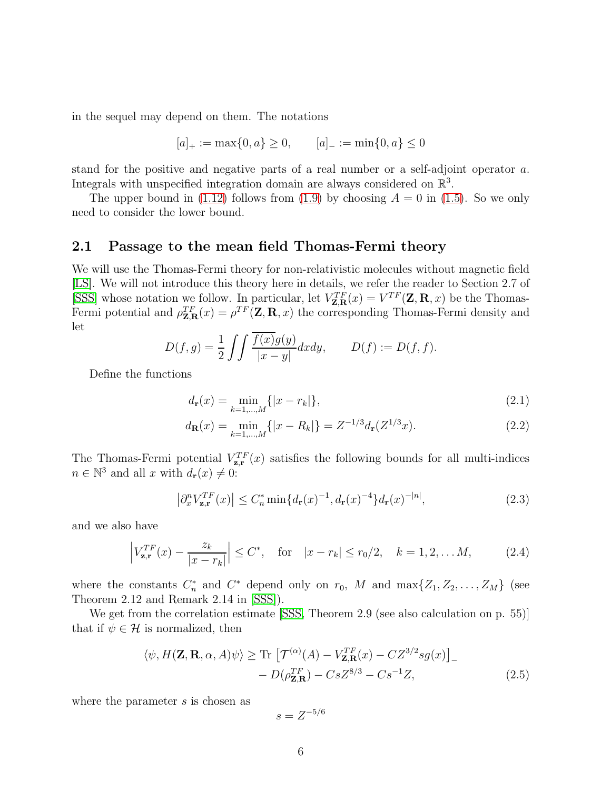in the sequel may depend on them. The notations

$$
[a]_+ := \max\{0, a\} \ge 0, \qquad [a]_- := \min\{0, a\} \le 0
$$

stand for the positive and negative parts of a real number or a self-adjoint operator a. Integrals with unspecified integration domain are always considered on  $\mathbb{R}^3$ .

The upper bound in [\(1.12\)](#page-4-0) follows from [\(1.9\)](#page-3-2) by choosing  $A = 0$  in [\(1.5\)](#page-2-0). So we only need to consider the lower bound.

### 2.1 Passage to the mean field Thomas-Fermi theory

We will use the Thomas-Fermi theory for non-relativistic molecules without magnetic field [\[LS\]](#page-32-1). We will not introduce this theory here in details, we refer the reader to Section 2.7 of [\[SSS\]](#page-33-0) whose notation we follow. In particular, let  $V_{\mathbf{Z},\mathbf{R}}^{TF}(x) = V^{TF}(\mathbf{Z},\mathbf{R},x)$  be the Thomas-Fermi potential and  $\rho_{\mathbf{Z},\mathbf{R}}^{TF}(x) = \rho^{TF}(\mathbf{Z},\mathbf{R},x)$  the corresponding Thomas-Fermi density and let

$$
D(f,g) = \frac{1}{2} \int \int \frac{\overline{f(x)}g(y)}{|x-y|} dx dy, \qquad D(f) := D(f,f).
$$

Define the functions

<span id="page-5-2"></span>
$$
d_{\mathbf{r}}(x) = \min_{k=1,\dots,M} \{ |x - r_k| \},
$$
\n(2.1)

$$
d_{\mathbf{R}}(x) = \min_{k=1,\dots,M} \{ |x - R_k| \} = Z^{-1/3} d_{\mathbf{r}}(Z^{1/3}x). \tag{2.2}
$$

The Thomas-Fermi potential  $V_{\mathbf{z},\mathbf{r}}^{TF}(x)$  satisfies the following bounds for all multi-indices  $n \in \mathbb{N}^3$  and all x with  $d_{\mathbf{r}}(x) \neq 0$ :

$$
\left|\partial_x^n V_{\mathbf{z},\mathbf{r}}^{TF}(x)\right| \le C_n^* \min\{d_\mathbf{r}(x)^{-1}, d_\mathbf{r}(x)^{-4}\} d_\mathbf{r}(x)^{-|n|},\tag{2.3}
$$

and we also have

$$
\left| V_{\mathbf{z},\mathbf{r}}^{TF}(x) - \frac{z_k}{|x - r_k|} \right| \le C^*, \quad \text{for} \quad |x - r_k| \le r_0/2, \quad k = 1, 2, \dots M,
$$
 (2.4)

where the constants  $C_n^*$  and  $C^*$  depend only on  $r_0$ , M and  $\max\{Z_1, Z_2, \ldots, Z_M\}$  (see Theorem 2.12 and Remark 2.14 in [\[SSS\]](#page-33-0)).

We get from the correlation estimate [\[SSS,](#page-33-0) Theorem 2.9 (see also calculation on p. 55)] that if  $\psi \in \mathcal{H}$  is normalized, then

$$
\langle \psi, H(\mathbf{Z}, \mathbf{R}, \alpha, A)\psi \rangle \ge \text{Tr} \left[ \mathcal{T}^{(\alpha)}(A) - V_{\mathbf{Z}, \mathbf{R}}^{TF}(x) - CZ^{3/2}sg(x) \right]_{-} - D(\rho_{\mathbf{Z}, \mathbf{R}}^{TF}) - CsZ^{8/3} - Cs^{-1}Z,
$$
\n(2.5)

where the parameter s is chosen as

<span id="page-5-3"></span><span id="page-5-1"></span><span id="page-5-0"></span>
$$
s = Z^{-5/6}
$$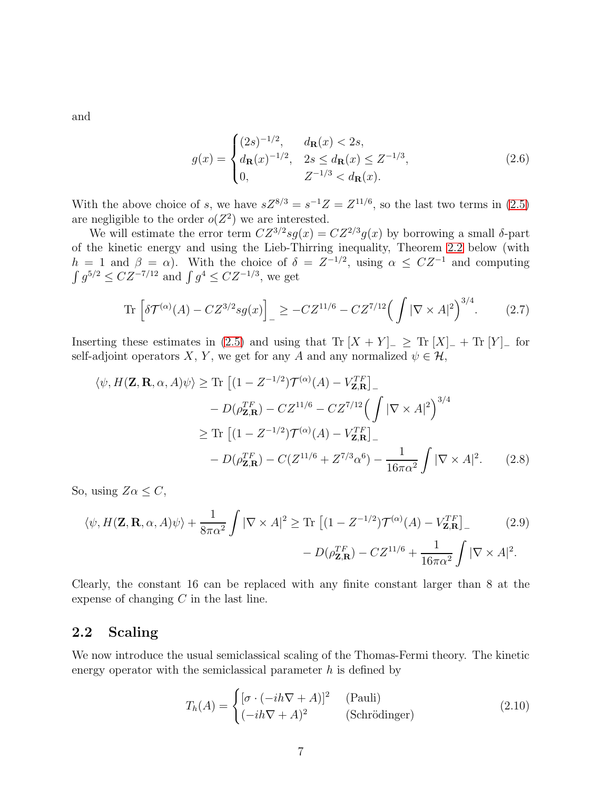and

$$
g(x) = \begin{cases} (2s)^{-1/2}, & d_{\mathbf{R}}(x) < 2s, \\ d_{\mathbf{R}}(x)^{-1/2}, & 2s \le d_{\mathbf{R}}(x) \le Z^{-1/3}, \\ 0, & Z^{-1/3} < d_{\mathbf{R}}(x). \end{cases}
$$
(2.6)

With the above choice of s, we have  $sZ^{8/3} = s^{-1}Z = Z^{11/6}$ , so the last two terms in [\(2.5\)](#page-5-0) are negligible to the order  $o(Z^2)$  we are interested.

We will estimate the error term  $CZ^{3/2}sg(x) = CZ^{2/3}g(x)$  by borrowing a small  $\delta$ -part of the kinetic energy and using the Lieb-Thirring inequality, Theorem [2.2](#page-8-0) below (with  $h = 1$  and  $\beta = \alpha$ ). With the choice of  $\delta = Z^{-1/2}$ , using  $\alpha \le CZ^{-1}$  and computing  $\int g^{5/2} \le C Z^{-7/12}$  and  $\int g^4 \le C Z^{-1/3}$ , we get

$$
\operatorname{Tr}\left[\delta\mathcal{T}^{(\alpha)}(A) - CZ^{3/2}sg(x)\right]_{-} \ge -CZ^{11/6} - CZ^{7/12}\Big(\int |\nabla \times A|^2\Big)^{3/4}.\tag{2.7}
$$

Inserting these estimates in [\(2.5\)](#page-5-0) and using that Tr  $[X + Y]_-\geq$  Tr  $[X]_+ +$  Tr  $[Y]_-$  for self-adjoint operators X, Y, we get for any A and any normalized  $\psi \in \mathcal{H}$ ,

$$
\langle \psi, H(\mathbf{Z}, \mathbf{R}, \alpha, A)\psi \rangle \ge \text{Tr} \left[ (1 - Z^{-1/2}) \mathcal{T}^{(\alpha)}(A) - V_{\mathbf{Z}, \mathbf{R}}^{TF} \right]_{-}
$$

$$
- D(\rho_{\mathbf{Z}, \mathbf{R}}^{TF}) - C Z^{11/6} - C Z^{7/12} \Big( \int |\nabla \times A|^2 \Big)^{3/4}
$$

$$
\ge \text{Tr} \left[ (1 - Z^{-1/2}) \mathcal{T}^{(\alpha)}(A) - V_{\mathbf{Z}, \mathbf{R}}^{TF} \right]_{-}
$$

$$
- D(\rho_{\mathbf{Z}, \mathbf{R}}^{TF}) - C(Z^{11/6} + Z^{7/3} \alpha^6) - \frac{1}{16\pi \alpha^2} \int |\nabla \times A|^2. \tag{2.8}
$$

So, using  $Z\alpha \leq C$ ,

$$
\langle \psi, H(\mathbf{Z}, \mathbf{R}, \alpha, A)\psi \rangle + \frac{1}{8\pi\alpha^2} \int |\nabla \times A|^2 \ge \text{Tr} \left[ (1 - Z^{-1/2}) \mathcal{T}^{(\alpha)}(A) - V_{\mathbf{Z}, \mathbf{R}}^{TF} \right] - D(\rho_{\mathbf{Z}, \mathbf{R}}^{TF}) - CZ^{11/6} + \frac{1}{16\pi\alpha^2} \int |\nabla \times A|^2.
$$
 (2.9)

Clearly, the constant 16 can be replaced with any finite constant larger than 8 at the expense of changing  $C$  in the last line.

### 2.2 Scaling

We now introduce the usual semiclassical scaling of the Thomas-Fermi theory. The kinetic energy operator with the semiclassical parameter  $h$  is defined by

<span id="page-6-0"></span>
$$
T_h(A) = \begin{cases} [\sigma \cdot (-ih\nabla + A)]^2 & \text{(Pauli)}\\ (-ih\nabla + A)^2 & \text{(Schrödinger)} \end{cases}
$$
(2.10)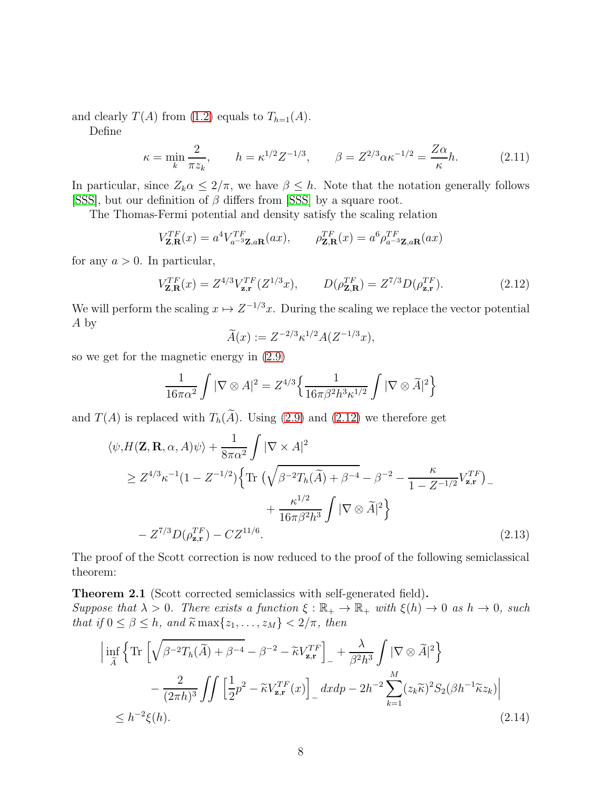and clearly  $T(A)$  from [\(1.2\)](#page-1-1) equals to  $T_{h=1}(A)$ .

Define

$$
\kappa = \min_{k} \frac{2}{\pi z_k}, \qquad h = \kappa^{1/2} Z^{-1/3}, \qquad \beta = Z^{2/3} \alpha \kappa^{-1/2} = \frac{Z \alpha}{\kappa} h. \tag{2.11}
$$

In particular, since  $Z_k \alpha \leq 2/\pi$ , we have  $\beta \leq h$ . Note that the notation generally follows [\[SSS\]](#page-33-0), but our definition of  $\beta$  differs from [\[SSS\]](#page-33-0) by a square root.

The Thomas-Fermi potential and density satisfy the scaling relation

$$
V_{\mathbf{Z},\mathbf{R}}^{TF}(x) = a^4 V_{a^{-3}\mathbf{Z},a\mathbf{R}}^{TF}(ax), \qquad \rho_{\mathbf{Z},\mathbf{R}}^{TF}(x) = a^6 \rho_{a^{-3}\mathbf{Z},a\mathbf{R}}^{TF}(ax)
$$

for any  $a > 0$ . In particular,

$$
V_{\mathbf{Z},\mathbf{R}}^{TF}(x) = Z^{4/3} V_{\mathbf{z},\mathbf{r}}^{TF}(Z^{1/3}x), \qquad D(\rho_{\mathbf{Z},\mathbf{R}}^{TF}) = Z^{7/3} D(\rho_{\mathbf{z},\mathbf{r}}^{TF}). \tag{2.12}
$$

We will perform the scaling  $x \mapsto Z^{-1/3}x$ . During the scaling we replace the vector potential A by

<span id="page-7-3"></span><span id="page-7-2"></span><span id="page-7-0"></span>
$$
\widetilde{A}(x) := Z^{-2/3} \kappa^{1/2} A(Z^{-1/3}x),
$$

so we get for the magnetic energy in [\(2.9\)](#page-6-0)

$$
\frac{1}{16\pi\alpha^2} \int |\nabla \otimes A|^2 = Z^{4/3} \left\{ \frac{1}{16\pi\beta^2 h^3 \kappa^{1/2}} \int |\nabla \otimes \widetilde{A}|^2 \right\}
$$

and  $T(A)$  is replaced with  $T_h(\widetilde{A})$ . Using [\(2.9\)](#page-6-0) and [\(2.12\)](#page-7-0) we therefore get

$$
\langle \psi, H(\mathbf{Z}, \mathbf{R}, \alpha, A)\psi \rangle + \frac{1}{8\pi\alpha^2} \int |\nabla \times A|^2
$$
  
\n
$$
\geq Z^{4/3} \kappa^{-1} (1 - Z^{-1/2}) \Big\{ \text{Tr} \left( \sqrt{\beta^{-2} T_h(\widetilde{A})} + \beta^{-4} - \beta^{-2} - \frac{\kappa}{1 - Z^{-1/2}} V_{\mathbf{z}, \mathbf{r}}^{TF} \right) - \frac{\kappa^{1/2}}{16\pi\beta^2 h^3} \int |\nabla \otimes \widetilde{A}|^2 \Big\}
$$
  
\n
$$
- Z^{7/3} D(\rho_{\mathbf{z}, \mathbf{r}}^{TF}) - CZ^{11/6}.
$$
 (2.13)

The proof of the Scott correction is now reduced to the proof of the following semiclassical theorem:

<span id="page-7-1"></span>Theorem 2.1 (Scott corrected semiclassics with self-generated field). Suppose that  $\lambda > 0$ . There exists a function  $\xi : \mathbb{R}_+ \to \mathbb{R}_+$  with  $\xi(h) \to 0$  as  $h \to 0$ , such that if  $0 \le \beta \le h$ , and  $\widetilde{\kappa} \max\{z_1, \ldots, z_M\} < 2/\pi$ , then

<span id="page-7-4"></span>
$$
\left| \inf_{\widetilde{A}} \left\{ \operatorname{Tr} \left[ \sqrt{\beta^{-2} T_h(\widetilde{A}) + \beta^{-4}} - \beta^{-2} - \widetilde{\kappa} V_{\mathbf{z}, \mathbf{r}}^{TF} \right]_{-} + \frac{\lambda}{\beta^2 h^3} \int |\nabla \otimes \widetilde{A}|^2 \right\} \right. \\
\left. - \frac{2}{(2\pi h)^3} \iint \left[ \frac{1}{2} p^2 - \widetilde{\kappa} V_{\mathbf{z}, \mathbf{r}}^{TF}(x) \right]_{-} dx dp - 2h^{-2} \sum_{k=1}^{M} (z_k \widetilde{\kappa})^2 S_2(\beta h^{-1} \widetilde{\kappa} z_k) \right| \\
\leq h^{-2} \xi(h). \tag{2.14}
$$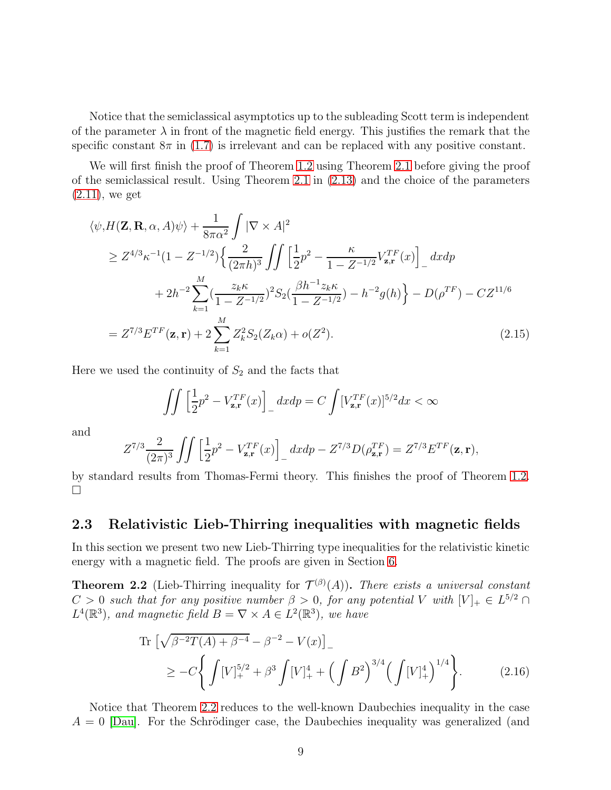Notice that the semiclassical asymptotics up to the subleading Scott term is independent of the parameter  $\lambda$  in front of the magnetic field energy. This justifies the remark that the specific constant  $8\pi$  in [\(1.7\)](#page-2-1) is irrelevant and can be replaced with any positive constant.

We will first finish the proof of Theorem [1.2](#page-3-1) using Theorem [2.1](#page-7-1) before giving the proof of the semiclassical result. Using Theorem [2.1](#page-7-1) in [\(2.13\)](#page-7-2) and the choice of the parameters  $(2.11)$ , we get

$$
\langle \psi, H(\mathbf{Z}, \mathbf{R}, \alpha, A)\psi \rangle + \frac{1}{8\pi\alpha^2} \int |\nabla \times A|^2
$$
  
\n
$$
\geq Z^{4/3} \kappa^{-1} (1 - Z^{-1/2}) \Big\{ \frac{2}{(2\pi h)^3} \int \int \Big[ \frac{1}{2} p^2 - \frac{\kappa}{1 - Z^{-1/2}} V_{\mathbf{z}, \mathbf{r}}^{TF}(x) \Big]_{-} dx dp
$$
  
\n
$$
+ 2h^{-2} \sum_{k=1}^{M} \Big( \frac{z_k \kappa}{1 - Z^{-1/2}} \Big)^2 S_2 \Big( \frac{\beta h^{-1} z_k \kappa}{1 - Z^{-1/2}} \Big) - h^{-2} g(h) \Big\} - D(\rho^{TF}) - C Z^{11/6}
$$
  
\n
$$
= Z^{7/3} E^{TF}(\mathbf{z}, \mathbf{r}) + 2 \sum_{k=1}^{M} Z_k^2 S_2(Z_k \alpha) + o(Z^2).
$$
\n(2.15)

Here we used the continuity of  $S_2$  and the facts that

$$
\iint \left[\frac{1}{2}p^2 - V_{\mathbf{z},\mathbf{r}}^{TF}(x)\right]_-\,dxdp = C\int [V_{\mathbf{z},\mathbf{r}}^{TF}(x)]^{5/2}dx < \infty
$$

and

$$
Z^{7/3}\frac{2}{(2\pi)^3}\int\int\left[\frac{1}{2}p^2-V_{\mathbf{z},\mathbf{r}}^{TF}(x)\right]_-\,dxdp-Z^{7/3}D(\rho_{\mathbf{z},\mathbf{r}}^{TF})=Z^{7/3}E^{TF}(\mathbf{z},\mathbf{r}),
$$

by standard results from Thomas-Fermi theory. This finishes the proof of Theorem [1.2.](#page-3-1)  $\Box$ 

### 2.3 Relativistic Lieb-Thirring inequalities with magnetic fields

In this section we present two new Lieb-Thirring type inequalities for the relativistic kinetic energy with a magnetic field. The proofs are given in Section [6.](#page-26-0)

<span id="page-8-0"></span>**Theorem 2.2** (Lieb-Thirring inequality for  $\mathcal{T}^{(\beta)}(A)$ ). There exists a universal constant  $C > 0$  such that for any positive number  $\beta > 0$ , for any potential V with  $[V]_+ \in L^{5/2} \cap$  $L^4(\mathbb{R}^3)$ , and magnetic field  $B = \nabla \times A \in L^2(\mathbb{R}^3)$ , we have

<span id="page-8-1"></span>Tr 
$$
\left[\sqrt{\beta^{-2}T(A) + \beta^{-4}} - \beta^{-2} - V(x)\right]_{-}
$$
  
\n
$$
\geq -C \left\{ \int \left[V\right]_{+}^{5/2} + \beta^{3} \int \left[V\right]_{+}^{4} + \left(\int B^{2}\right)^{3/4} \left(\int \left[V\right]_{+}^{4}\right)^{1/4} \right\}.
$$
\n(2.16)

Notice that Theorem [2.2](#page-8-0) reduces to the well-known Daubechies inequality in the case  $A = 0$  Dau, For the Schrödinger case, the Daubechies inequality was generalized (and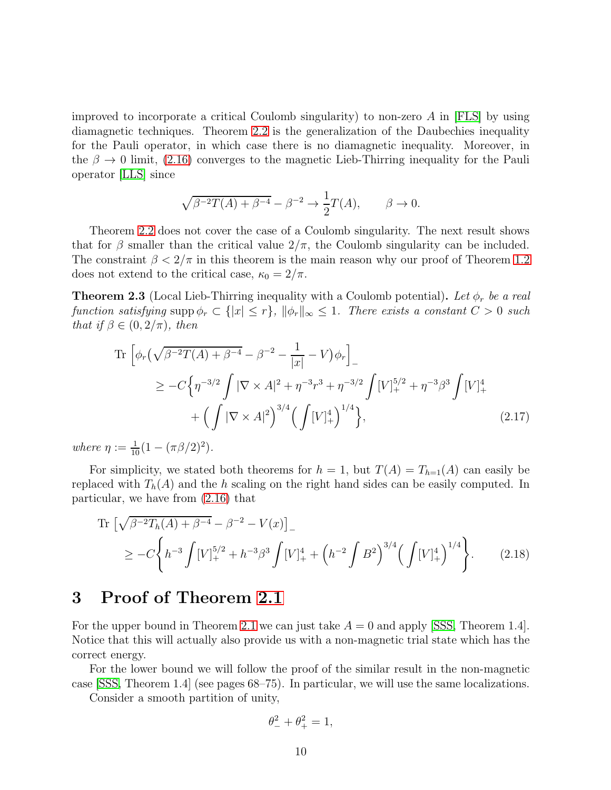improved to incorporate a critical Coulomb singularity) to non-zero  $A$  in [\[FLS\]](#page-32-12) by using diamagnetic techniques. Theorem [2.2](#page-8-0) is the generalization of the Daubechies inequality for the Pauli operator, in which case there is no diamagnetic inequality. Moreover, in the  $\beta \to 0$  limit, [\(2.16\)](#page-8-1) converges to the magnetic Lieb-Thirring inequality for the Pauli operator [\[LLS\]](#page-32-11) since

$$
\sqrt{\beta^{-2}T(A) + \beta^{-4}} - \beta^{-2} \to \frac{1}{2}T(A), \qquad \beta \to 0.
$$

Theorem [2.2](#page-8-0) does not cover the case of a Coulomb singularity. The next result shows that for  $\beta$  smaller than the critical value  $2/\pi$ , the Coulomb singularity can be included. The constraint  $\beta < 2/\pi$  in this theorem is the main reason why our proof of Theorem [1.2](#page-3-1) does not extend to the critical case,  $\kappa_0 = 2/\pi$ .

<span id="page-9-0"></span>**Theorem 2.3** (Local Lieb-Thirring inequality with a Coulomb potential). Let  $\phi_r$  be a real function satisfying supp  $\phi_r \subset \{|x| \leq r\}$ ,  $\|\phi_r\|_{\infty} \leq 1$ . There exists a constant  $C > 0$  such that if  $\beta \in (0, 2/\pi)$ , then

Tr 
$$
\left[ \phi_r \left( \sqrt{\beta^{-2} T(A) + \beta^{-4}} - \beta^{-2} - \frac{1}{|x|} - V \right) \phi_r \right]_-\
$$
  
\n $\geq -C \left\{ \eta^{-3/2} \int |\nabla \times A|^2 + \eta^{-3} r^3 + \eta^{-3/2} \int [V]_+^{5/2} + \eta^{-3} \beta^3 \int [V]_+^4 \right\}$   
\n $+ \left( \int |\nabla \times A|^2 \right)^{3/4} \left( \int [V]_+^4 \right)^{1/4} \right\},$  (2.17)

where  $\eta := \frac{1}{10} (1 - (\pi \beta / 2)^2)$ .

For simplicity, we stated both theorems for  $h = 1$ , but  $T(A) = T_{h=1}(A)$  can easily be replaced with  $T_h(A)$  and the h scaling on the right hand sides can be easily computed. In particular, we have from [\(2.16\)](#page-8-1) that

Tr 
$$
\left[\sqrt{\beta^{-2}T_h(A) + \beta^{-4}} - \beta^{-2} - V(x)\right]_-
$$
  
\n
$$
\geq -C \left\{ h^{-3} \int [V]_+^{5/2} + h^{-3} \beta^3 \int [V]_+^4 + \left(h^{-2} \int B^2\right)^{3/4} \left(\int [V]_+^4\right)^{1/4} \right\}.
$$
 (2.18)

# 3 Proof of Theorem [2.1](#page-7-1)

For the upper bound in Theorem [2.1](#page-7-1) we can just take  $A = 0$  and apply [\[SSS,](#page-33-0) Theorem 1.4]. Notice that this will actually also provide us with a non-magnetic trial state which has the correct energy.

For the lower bound we will follow the proof of the similar result in the non-magnetic case [\[SSS,](#page-33-0) Theorem 1.4] (see pages 68–75). In particular, we will use the same localizations.

Consider a smooth partition of unity,

<span id="page-9-1"></span>
$$
\theta_-^2 + \theta_+^2 = 1,
$$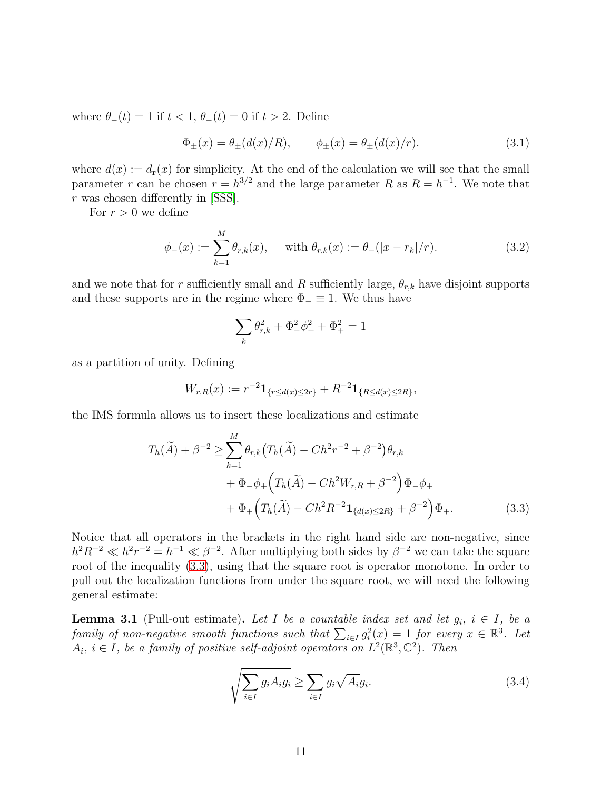where  $\theta_-(t) = 1$  if  $t < 1$ ,  $\theta_-(t) = 0$  if  $t > 2$ . Define

$$
\Phi_{\pm}(x) = \theta_{\pm}(d(x)/R), \qquad \phi_{\pm}(x) = \theta_{\pm}(d(x)/r).
$$
\n(3.1)

where  $d(x) := d_{\mathbf{r}}(x)$  for simplicity. At the end of the calculation we will see that the small parameter r can be chosen  $r = h^{3/2}$  and the large parameter R as  $R = h^{-1}$ . We note that r was chosen differently in [\[SSS\]](#page-33-0).

For  $r > 0$  we define

$$
\phi_{-}(x) := \sum_{k=1}^{M} \theta_{r,k}(x), \quad \text{ with } \theta_{r,k}(x) := \theta_{-}(|x - r_{k}|/r). \tag{3.2}
$$

and we note that for r sufficiently small and R sufficiently large,  $\theta_{r,k}$  have disjoint supports and these supports are in the regime where  $\Phi_-\equiv 1$ . We thus have

<span id="page-10-3"></span>
$$
\sum_k \theta_{r,k}^2 + \Phi_{-}^2 \phi_{+}^2 + \Phi_{+}^2 = 1
$$

as a partition of unity. Defining

$$
W_{r,R}(x) := r^{-2} \mathbf{1}_{\{r \le d(x) \le 2r\}} + R^{-2} \mathbf{1}_{\{R \le d(x) \le 2R\}},
$$

the IMS formula allows us to insert these localizations and estimate

$$
T_h(\widetilde{A}) + \beta^{-2} \ge \sum_{k=1}^M \theta_{r,k} (T_h(\widetilde{A}) - Ch^2 r^{-2} + \beta^{-2}) \theta_{r,k} + \Phi_- \phi_+ (T_h(\widetilde{A}) - Ch^2 W_{r,R} + \beta^{-2}) \Phi_- \phi_+ + \Phi_+ (T_h(\widetilde{A}) - Ch^2 R^{-2} \mathbf{1}_{\{d(x) \le 2R\}} + \beta^{-2}) \Phi_+.
$$
 (3.3)

Notice that all operators in the brackets in the right hand side are non-negative, since  $h^2R^{-2} \ll h^2r^{-2} = h^{-1} \ll \beta^{-2}$ . After multiplying both sides by  $\beta^{-2}$  we can take the square root of the inequality [\(3.3\)](#page-10-1), using that the square root is operator monotone. In order to pull out the localization functions from under the square root, we will need the following general estimate:

<span id="page-10-0"></span>**Lemma 3.1** (Pull-out estimate). Let I be a countable index set and let  $g_i$ ,  $i \in I$ , be a family of non-negative smooth functions such that  $\sum_{i \in I} g_i^2(x) = 1$  for every  $x \in \mathbb{R}^3$ . Let  $A_i, i \in I$ , be a family of positive self-adjoint operators on  $L^2(\mathbb{R}^3, \mathbb{C}^2)$ . Then

<span id="page-10-2"></span><span id="page-10-1"></span>
$$
\sqrt{\sum_{i \in I} g_i A_i g_i} \ge \sum_{i \in I} g_i \sqrt{A_i} g_i. \tag{3.4}
$$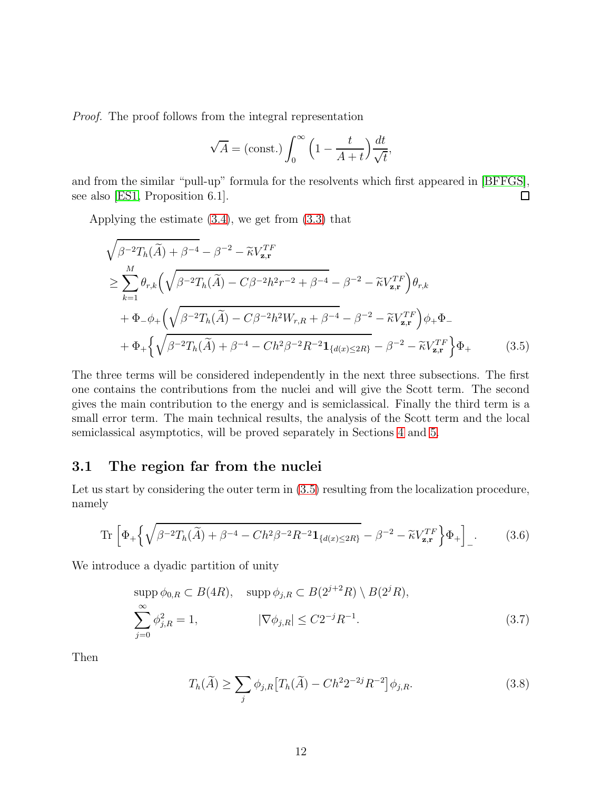Proof. The proof follows from the integral representation

<span id="page-11-0"></span>
$$
\sqrt{A} = \text{(const.)} \int_0^\infty \left(1 - \frac{t}{A + t}\right) \frac{dt}{\sqrt{t}},
$$

and from the similar "pull-up" formula for the resolvents which first appeared in [\[BFFGS\]](#page-31-3), see also [\[ES1,](#page-32-13) Proposition 6.1].  $\Box$ 

Applying the estimate [\(3.4\)](#page-10-2), we get from [\(3.3\)](#page-10-1) that

$$
\sqrt{\beta^{-2}T_h(\widetilde{A}) + \beta^{-4}} - \beta^{-2} - \widetilde{\kappa}V_{\mathbf{z},\mathbf{r}}^{TF}
$$
\n
$$
\geq \sum_{k=1}^{M} \theta_{r,k} \left( \sqrt{\beta^{-2}T_h(\widetilde{A}) - C\beta^{-2}h^2r^{-2} + \beta^{-4}} - \beta^{-2} - \widetilde{\kappa}V_{\mathbf{z},\mathbf{r}}^{TF} \right) \theta_{r,k}
$$
\n
$$
+ \Phi_{-\phi+} \left( \sqrt{\beta^{-2}T_h(\widetilde{A}) - C\beta^{-2}h^2W_{r,R} + \beta^{-4}} - \beta^{-2} - \widetilde{\kappa}V_{\mathbf{z},\mathbf{r}}^{TF} \right) \phi_{+} \Phi_{-}
$$
\n
$$
+ \Phi_{+} \left\{ \sqrt{\beta^{-2}T_h(\widetilde{A}) + \beta^{-4} - Ch^2\beta^{-2}R^{-2}\mathbf{1}_{\{d(x) \leq 2R\}}} - \beta^{-2} - \widetilde{\kappa}V_{\mathbf{z},\mathbf{r}}^{TF} \right\} \Phi_{+} \qquad (3.5)
$$

The three terms will be considered independently in the next three subsections. The first one contains the contributions from the nuclei and will give the Scott term. The second gives the main contribution to the energy and is semiclassical. Finally the third term is a small error term. The main technical results, the analysis of the Scott term and the local semiclassical asymptotics, will be proved separately in Sections [4](#page-18-0) and [5.](#page-22-0)

### 3.1 The region far from the nuclei

Let us start by considering the outer term in  $(3.5)$  resulting from the localization procedure, namely

$$
\operatorname{Tr}\left[\Phi_{+}\left\{\sqrt{\beta^{-2}T_{h}(\tilde{A})+\beta^{-4}-Ch^{2}\beta^{-2}R^{-2}\mathbf{1}_{\{d(x)\leq 2R\}}}-\beta^{-2}-\tilde{\kappa}V_{\mathbf{z},\mathbf{r}}^{TF}\right\}\Phi_{+}\right]_{-}.\tag{3.6}
$$

We introduce a dyadic partition of unity

$$
\text{supp}\,\phi_{0,R}\subset B(4R),\quad \text{supp}\,\phi_{j,R}\subset B(2^{j+2}R)\setminus B(2^jR),
$$
\n
$$
\sum_{j=0}^{\infty}\phi_{j,R}^2=1,\qquad \qquad |\nabla\phi_{j,R}|\leq C2^{-j}R^{-1}.\tag{3.7}
$$

Then

$$
T_h(\widetilde{A}) \ge \sum_j \phi_{j,R} \left[ T_h(\widetilde{A}) - C h^2 2^{-2j} R^{-2} \right] \phi_{j,R}.
$$
\n(3.8)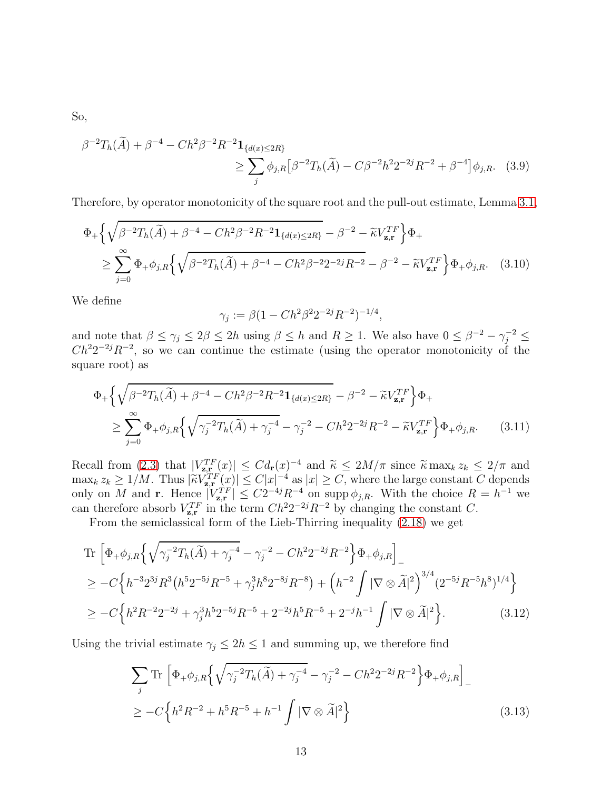So,

$$
\beta^{-2}T_h(\widetilde{A}) + \beta^{-4} - Ch^2 \beta^{-2} R^{-2} \mathbf{1}_{\{d(x) \le 2R\}} \n\ge \sum_j \phi_{j,R} [\beta^{-2} T_h(\widetilde{A}) - C \beta^{-2} h^2 2^{-2j} R^{-2} + \beta^{-4}] \phi_{j,R}. \tag{3.9}
$$

Therefore, by operator monotonicity of the square root and the pull-out estimate, Lemma [3.1,](#page-10-0)

$$
\Phi_{+}\left\{\sqrt{\beta^{-2}T_{h}(\tilde{A})+\beta^{-4}-Ch^{2}\beta^{-2}R^{-2}\mathbf{1}_{\{d(x)\leq 2R\}}}-\beta^{-2}-\tilde{\kappa}V_{\mathbf{z},\mathbf{r}}^{TF}\right\}\Phi_{+}
$$
\n
$$
\geq \sum_{j=0}^{\infty}\Phi_{+}\phi_{j,R}\left\{\sqrt{\beta^{-2}T_{h}(\tilde{A})+\beta^{-4}-Ch^{2}\beta^{-2}2^{-2j}R^{-2}}-\beta^{-2}-\tilde{\kappa}V_{\mathbf{z},\mathbf{r}}^{TF}\right\}\Phi_{+}\phi_{j,R}.\quad(3.10)
$$

We define

$$
\gamma_j := \beta (1 - C h^2 \beta^2 2^{-2j} R^{-2})^{-1/4},
$$

and note that  $\beta \leq \gamma_j \leq 2\beta \leq 2h$  using  $\beta \leq h$  and  $R \geq 1$ . We also have  $0 \leq \beta^{-2} - \gamma_j^{-2} \leq$  $Ch^22^{-2j}R^{-2}$ , so we can continue the estimate (using the operator monotonicity of the square root) as

$$
\Phi_{+}\left\{\sqrt{\beta^{-2}T_{h}(\tilde{A})+\beta^{-4}-Ch^{2}\beta^{-2}R^{-2}}\mathbf{1}_{\{d(x)\leq 2R\}}-\beta^{-2}-\tilde{\kappa}V_{\mathbf{z},\mathbf{r}}^{TF}\right\}\Phi_{+}
$$
\n
$$
\geq \sum_{j=0}^{\infty}\Phi_{+}\phi_{j,R}\left\{\sqrt{\gamma_{j}^{-2}T_{h}(\tilde{A})+\gamma_{j}^{-4}}-\gamma_{j}^{-2}-Ch^{2}2^{-2j}R^{-2}-\tilde{\kappa}V_{\mathbf{z},\mathbf{r}}^{TF}\right\}\Phi_{+}\phi_{j,R}.\tag{3.11}
$$

Recall from [\(2.3\)](#page-5-1) that  $|V_{\mathbf{z},\mathbf{r}}^{TF}(x)| \leq Cd_{\mathbf{r}}(x)^{-4}$  and  $\tilde{\kappa} \leq 2M/\pi$  since  $\tilde{\kappa} \max_k z_k \leq 2/\pi$  and  $\max_k z_k \geq 1/M$ . Thus  $|\widetilde{\kappa}V_{z,r}^{TF}(x)| \leq C|x|^{-4}$  as  $|x| \geq C$ , where the large constant C depends only on M and **r**. Hence  $|V_{\mathbf{z},\mathbf{r}}^{TF}| \leq C2^{-4j}R^{-4}$  on supp  $\phi_{j,R}$ . With the choice  $R = h^{-1}$  we can therefore absorb  $V_{\mathbf{z},\mathbf{r}}^{TF}$  in the term  $Ch^22^{-2j}R^{-2}$  by changing the constant C.

From the semiclassical form of the Lieb-Thirring inequality [\(2.18\)](#page-9-1) we get

Tr 
$$
\left[ \Phi_+ \phi_{j,R} \left\{ \sqrt{\gamma_j^{-2} T_h(\tilde{A}) + \gamma_j^{-4}} - \gamma_j^{-2} - C h^2 2^{-2j} R^{-2} \right\} \Phi_+ \phi_{j,R} \right]_-\right]
$$
  
\n
$$
\geq -C \left\{ h^{-3} 2^{3j} R^3 \left( h^5 2^{-5j} R^{-5} + \gamma_j^3 h^8 2^{-8j} R^{-8} \right) + \left( h^{-2} \int |\nabla \otimes \tilde{A}|^2 \right)^{3/4} (2^{-5j} R^{-5} h^8)^{1/4} \right\}
$$
  
\n
$$
\geq -C \left\{ h^2 R^{-2} 2^{-2j} + \gamma_j^3 h^5 2^{-5j} R^{-5} + 2^{-2j} h^5 R^{-5} + 2^{-j} h^{-1} \int |\nabla \otimes \tilde{A}|^2 \right\}.
$$
 (3.12)

Using the trivial estimate  $\gamma_j \leq 2h \leq 1$  and summing up, we therefore find

$$
\sum_{j} \text{Tr} \left[ \Phi_{+} \phi_{j,R} \left\{ \sqrt{\gamma_{j}^{-2} T_{h}(\tilde{A}) + \gamma_{j}^{-4}} - \gamma_{j}^{-2} - C h^{2} 2^{-2j} R^{-2} \right\} \Phi_{+} \phi_{j,R} \right]_{-\n\n\geq -C \left\{ h^{2} R^{-2} + h^{5} R^{-5} + h^{-1} \int |\nabla \otimes \tilde{A}|^{2} \right\}
$$
\n(3.13)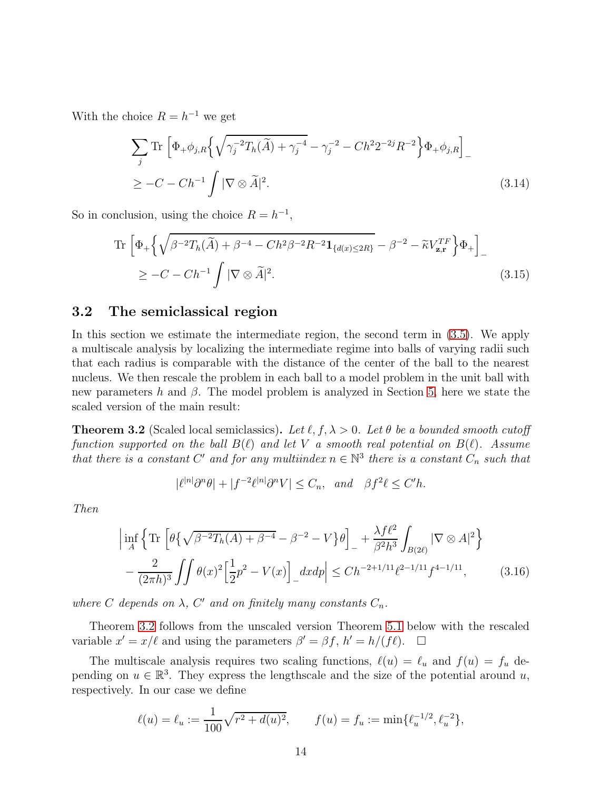With the choice  $R = h^{-1}$  we get

$$
\sum_{j} \text{Tr} \left[ \Phi_{+} \phi_{j,R} \left\{ \sqrt{\gamma_j^{-2} T_h(\tilde{A}) + \gamma_j^{-4}} - \gamma_j^{-2} - C h^2 2^{-2j} R^{-2} \right\} \Phi_{+} \phi_{j,R} \right]_{-\n\n\geq -C - C h^{-1} \int |\nabla \otimes \tilde{A}|^2.
$$
\n(3.14)

So in conclusion, using the choice  $R = h^{-1}$ ,

<span id="page-13-1"></span>
$$
\operatorname{Tr}\left[\Phi_{+}\left\{\sqrt{\beta^{-2}T_{h}(\tilde{A})+\beta^{-4}-Ch^{2}\beta^{-2}R^{-2}\mathbf{1}_{\{d(x)\leq 2R\}}}-\beta^{-2}-\tilde{\kappa}V_{\mathbf{z},\mathbf{r}}^{TF}\right\}\Phi_{+}\right]_{-}
$$
\n
$$
\geq -C-Ch^{-1}\int|\nabla\otimes\tilde{A}|^{2}.\tag{3.15}
$$

### 3.2 The semiclassical region

In this section we estimate the intermediate region, the second term in [\(3.5\)](#page-11-0). We apply a multiscale analysis by localizing the intermediate regime into balls of varying radii such that each radius is comparable with the distance of the center of the ball to the nearest nucleus. We then rescale the problem in each ball to a model problem in the unit ball with new parameters h and  $\beta$ . The model problem is analyzed in Section [5,](#page-22-0) here we state the scaled version of the main result:

<span id="page-13-0"></span>**Theorem 3.2** (Scaled local semiclassics). Let  $\ell, f, \lambda > 0$ . Let  $\theta$  be a bounded smooth cutoff function supported on the ball  $B(\ell)$  and let V a smooth real potential on  $B(\ell)$ . Assume that there is a constant C' and for any multiindex  $n \in \mathbb{N}^3$  there is a constant  $C_n$  such that

$$
|\ell^{|n|}\partial^n\theta| + |f^{-2}\ell^{|n|}\partial^n V| \le C_n, \quad \text{and} \quad \beta f^2 \ell \le C'h.
$$

Then

$$
\left| \inf_{A} \left\{ \text{Tr} \left[ \theta \{ \sqrt{\beta^{-2} T_h(A) + \beta^{-4}} - \beta^{-2} - V \} \theta \right]_{-} + \frac{\lambda f \ell^2}{\beta^2 h^3} \int_{B(2\ell)} |\nabla \otimes A|^2 \right\} \right. \\ \left. - \frac{2}{(2\pi h)^3} \iint \theta(x)^2 \left[ \frac{1}{2} p^2 - V(x) \right]_{-} dx dp \right| \le C h^{-2+1/11} \ell^{2-1/11} f^{4-1/11}, \tag{3.16}
$$

where C depends on  $\lambda$ , C' and on finitely many constants  $C_n$ .

Theorem [3.2](#page-13-0) follows from the unscaled version Theorem [5.1](#page-22-1) below with the rescaled variable  $x' = x/\ell$  and using the parameters  $\beta' = \beta f$ ,  $h' = h/(f\ell)$ .  $\Box$ 

The multiscale analysis requires two scaling functions,  $\ell(u) = \ell_u$  and  $f(u) = f_u$  depending on  $u \in \mathbb{R}^3$ . They express the lengthscale and the size of the potential around u, respectively. In our case we define

$$
\ell(u) = \ell_u := \frac{1}{100} \sqrt{r^2 + d(u)^2}, \qquad f(u) = f_u := \min\{\ell_u^{-1/2}, \ell_u^{-2}\},
$$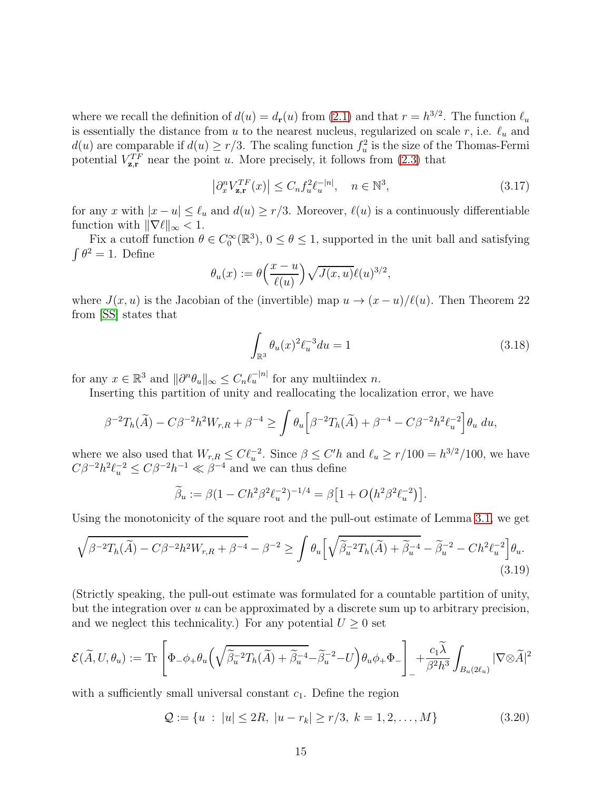where we recall the definition of  $d(u) = d_{\mathbf{r}}(u)$  from [\(2.1\)](#page-5-2) and that  $r = h^{3/2}$ . The function  $\ell_u$ is essentially the distance from u to the nearest nucleus, regularized on scale r, i.e.  $\ell_u$  and  $d(u)$  are comparable if  $d(u) \ge r/3$ . The scaling function  $f_u^2$  is the size of the Thomas-Fermi potential  $V_{\mathbf{z},\mathbf{r}}^{TF}$  near the point u. More precisely, it follows from [\(2.3\)](#page-5-1) that

<span id="page-14-1"></span>
$$
\left|\partial_x^n V_{\mathbf{z}, \mathbf{r}}^{TF}(x)\right| \le C_n f_u^2 \ell_u^{-|n|}, \quad n \in \mathbb{N}^3,
$$
\n(3.17)

for any x with  $|x - u| \leq \ell_u$  and  $d(u) \geq r/3$ . Moreover,  $\ell(u)$  is a continuously differentiable function with  $\|\nabla \ell\|_{\infty} < 1$ .

Fix a cutoff function  $\theta \in C_0^{\infty}(\mathbb{R}^3)$ ,  $0 \le \theta \le 1$ , supported in the unit ball and satisfying  $\int \theta^2 = 1$ . Define

$$
\theta_u(x):=\theta\Big(\frac{x-u}{\ell(u)}\Big)\sqrt{J(x,u)}\ell(u)^{3/2},
$$

where  $J(x, u)$  is the Jacobian of the (invertible) map  $u \to (x - u)/\ell(u)$ . Then Theorem 22 from [\[SS\]](#page-32-5) states that

<span id="page-14-2"></span>
$$
\int_{\mathbb{R}^3} \theta_u(x)^2 \ell_u^{-3} du = 1
$$
\n(3.18)

for any  $x \in \mathbb{R}^3$  and  $\|\partial^n \theta_u\|_{\infty} \leq C_n \ell_u^{-|n|}$  for any multiindex n.

Inserting this partition of unity and reallocating the localization error, we have

$$
\beta^{-2}T_h(\widetilde{A}) - C\beta^{-2}h^2W_{r,R} + \beta^{-4} \ge \int \theta_u \Big[\beta^{-2}T_h(\widetilde{A}) + \beta^{-4} - C\beta^{-2}h^2\ell_u^{-2}\Big] \theta_u du,
$$

where we also used that  $W_{r,R} \leq C \ell_u^{-2}$ . Since  $\beta \leq C'h$  and  $\ell_u \geq r/100 = h^{3/2}/100$ , we have  $C\beta^{-2}h^2\ell_u^{-2} \leq C\beta^{-2}h^{-1} \ll \beta^{-4}$  and we can thus define

<span id="page-14-0"></span>
$$
\widetilde{\beta}_u := \beta (1 - C h^2 \beta^2 \ell_u^{-2})^{-1/4} = \beta \left[ 1 + O\left( h^2 \beta^2 \ell_u^{-2} \right) \right].
$$

Using the monotonicity of the square root and the pull-out estimate of Lemma [3.1,](#page-10-0) we get

$$
\sqrt{\beta^{-2}T_h(\tilde{A}) - C\beta^{-2}h^2W_{r,R} + \beta^{-4}} - \beta^{-2} \ge \int \theta_u \left[ \sqrt{\tilde{\beta}_u^{-2}T_h(\tilde{A}) + \tilde{\beta}_u^{-4}} - \tilde{\beta}_u^{-2} - Ch^2\ell_u^{-2} \right] \theta_u.
$$
\n(3.19)

(Strictly speaking, the pull-out estimate was formulated for a countable partition of unity, but the integration over  $u$  can be approximated by a discrete sum up to arbitrary precision, and we neglect this technicality.) For any potential  $U \geq 0$  set

$$
\mathcal{E}(\widetilde{A},U,\theta_u) := \text{Tr}\left[\Phi_{-}\phi_{+}\theta_{u}\left(\sqrt{\widetilde{\beta}_{u}}^{2}T_{h}(\widetilde{A})+\widetilde{\beta}_{u}^{-4}-\widetilde{\beta}_{u}^{-2}-U\right)\theta_{u}\phi_{+}\Phi_{-}\right] + \frac{c_{1}\widetilde{\lambda}}{\beta^{2}h^{3}}\int_{B_{u}(2\ell_{u})}|\nabla\otimes\widetilde{A}|^{2}
$$

with a sufficiently small universal constant  $c_1$ . Define the region

$$
Q := \{ u : |u| \le 2R, |u - r_k| \ge r/3, k = 1, 2, ..., M \}
$$
\n(3.20)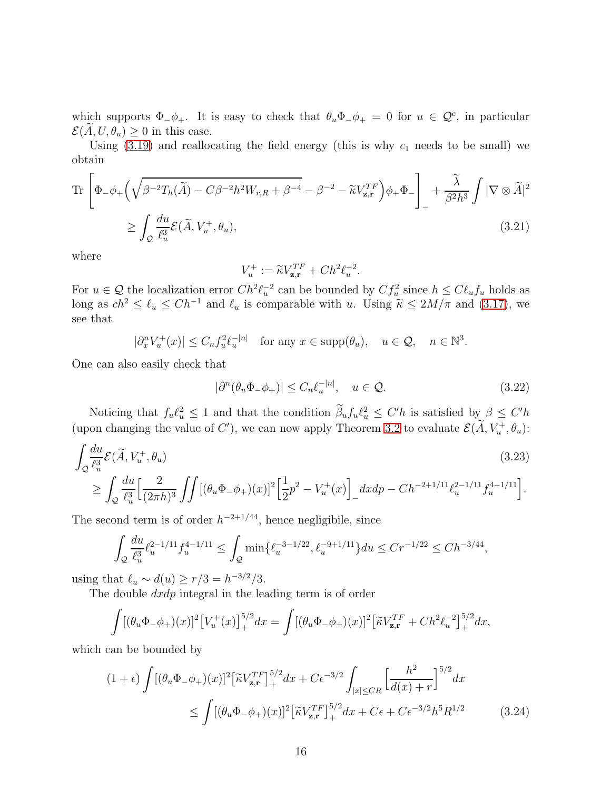which supports  $\Phi_-\phi_+$ . It is easy to check that  $\theta_u\Phi_-\phi_+ = 0$  for  $u \in \mathcal{Q}^c$ , in particular  $\mathcal{E}(A, U, \theta_u) \geq 0$  in this case.

Using  $(3.19)$  and reallocating the field energy (this is why  $c_1$  needs to be small) we obtain

$$
\operatorname{Tr}\left[\Phi_{-}\phi_{+}\left(\sqrt{\beta^{-2}T_{h}(\tilde{A})}-C\beta^{-2}h^{2}W_{r,R}+\beta^{-4}-\beta^{-2}-\tilde{\kappa}V_{\mathbf{z},\mathbf{r}}^{TF}\right)\phi_{+}\Phi_{-}\right]_{-}+\frac{\tilde{\lambda}}{\beta^{2}h^{3}}\int|\nabla\otimes\tilde{A}|^{2}\n\n\geq \int_{\mathcal{Q}}\frac{du}{\ell_{u}^{3}}\mathcal{E}(\tilde{A},V_{u}^{+},\theta_{u}),
$$
\n(3.21)

where

$$
V_u^+ := \widetilde{\kappa} V_{\mathbf{z}, \mathbf{r}}^{TF} + Ch^2 \ell_u^{-2}.
$$

For  $u \in \mathcal{Q}$  the localization error  $Ch^2\ell_u^{-2}$  can be bounded by  $Cf_u^2$  since  $h \leq C\ell_u f_u$  holds as long as  $ch^2 \leq \ell_u \leq Ch^{-1}$  and  $\ell_u$  is comparable with u. Using  $\widetilde{\kappa} \leq 2M/\pi$  and [\(3.17\)](#page-14-1), we see that

 $|\partial_x^n V_u^+(x)| \leq C_n f_u^2 \ell_u^{-|n|}$  for any  $x \in \text{supp}(\theta_u)$ ,  $u \in \mathcal{Q}$ ,  $n \in \mathbb{N}^3$ .

One can also easily check that

<span id="page-15-1"></span>
$$
|\partial^n(\theta_u \Phi_- \phi_+)| \le C_n \ell_u^{-|n|}, \quad u \in \mathcal{Q}.\tag{3.22}
$$

Noticing that  $f_u \ell_u^2 \leq 1$  and that the condition  $\beta_u f_u \ell_u^2 \leq C'h$  is satisfied by  $\beta \leq C'h$ (upon changing the value of C'), we can now apply Theorem [3.2](#page-13-0) to evaluate  $\mathcal{E}(\hat{A}, V_u^+, \theta_u)$ :

$$
\int_{Q} \frac{du}{\ell_u^3} \mathcal{E}(\tilde{A}, V_u^+, \theta_u) \tag{3.23}
$$
\n
$$
\geq \int_{Q} \frac{du}{\ell_u^3} \Big[ \frac{2}{(2\pi h)^3} \iint \left[ (\theta_u \Phi_- \phi_+)(x) \right]^2 \Big[ \frac{1}{2} p^2 - V_u^+(x) \Big]_- dx dp - C h^{-2+1/11} \ell_u^{2-1/11} f_u^{4-1/11} \Big].
$$

The second term is of order  $h^{-2+1/44}$ , hence negligibile, since

$$
\int_{\mathcal{Q}} \frac{du}{\ell_u^3} \ell_u^{2-1/11} f_u^{4-1/11} \le \int_{\mathcal{Q}} \min\{\ell_u^{-3-1/22}, \ell_u^{-9+1/11}\} du \le Cr^{-1/22} \le Ch^{-3/44},
$$

using that  $\ell_u \sim d(u) \ge r/3 = h^{-3/2}/3$ .

The double  $dxdp$  integral in the leading term is of order

$$
\int [(\theta_u \Phi - \phi_+)(x)]^2 \left[V_u^+(x)\right]_+^{5/2} dx = \int [(\theta_u \Phi - \phi_+)(x)]^2 \left[\widetilde{\kappa} V_{\mathbf{z},\mathbf{r}}^{TF} + Ch^2 \ell_u^{-2}\right]_+^{5/2} dx,
$$

which can be bounded by

<span id="page-15-0"></span>
$$
(1+\epsilon)\int [(\theta_u \Phi_- \phi_+)(x)]^2 \left[\tilde{\kappa} V_{\mathbf{z},\mathbf{r}}^{TF}\right]_+^{5/2} dx + C\epsilon^{-3/2} \int_{|x| \leq CR} \left[\frac{h^2}{d(x)+r}\right]^{5/2} dx
$$
  
 
$$
\leq \int [(\theta_u \Phi_- \phi_+)(x)]^2 \left[\tilde{\kappa} V_{\mathbf{z},\mathbf{r}}^{TF}\right]_+^{5/2} dx + C\epsilon + C\epsilon^{-3/2} h^5 R^{1/2}
$$
(3.24)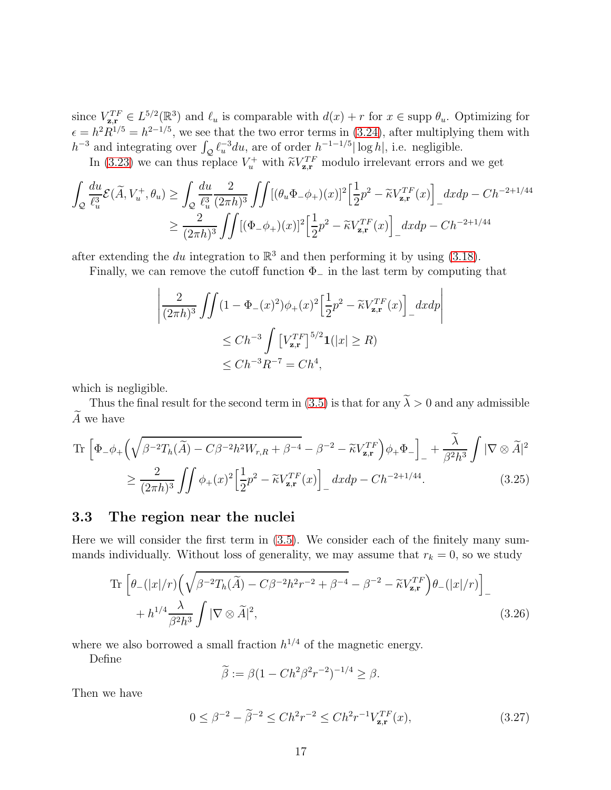since  $V_{\mathbf{z},\mathbf{r}}^{TF} \in L^{5/2}(\mathbb{R}^3)$  and  $\ell_u$  is comparable with  $d(x) + r$  for  $x \in \text{supp } \theta_u$ . Optimizing for  $\epsilon = h^2 R^{1/5} = h^{2-1/5}$ , we see that the two error terms in [\(3.24\)](#page-15-0), after multiplying them with  $h^{-3}$  and integrating over  $\int_{Q} \ell_u^{-3} du$ , are of order  $h^{-1-1/5} |\log h|$ , i.e. negligible.

In [\(3.23\)](#page-15-1) we can thus replace  $V_u^+$  with  $\tilde{\kappa} V_{\mathbf{z}, \mathbf{r}}^{TF}$  modulo irrelevant errors and we get

$$
\int_{\mathcal{Q}} \frac{du}{\ell_u^3} \mathcal{E}(\widetilde{A}, V_u^+, \theta_u) \ge \int_{\mathcal{Q}} \frac{du}{\ell_u^3} \frac{2}{(2\pi h)^3} \iint \left[ (\theta_u \Phi_- \phi_+)(x) \right]^2 \left[ \frac{1}{2} p^2 - \widetilde{\kappa} V_{\mathbf{z}, \mathbf{r}}^{TF}(x) \right]_{-} dx dp - C h^{-2+1/44}
$$

$$
\ge \frac{2}{(2\pi h)^3} \iint \left[ (\Phi_- \phi_+)(x) \right]^2 \left[ \frac{1}{2} p^2 - \widetilde{\kappa} V_{\mathbf{z}, \mathbf{r}}^{TF}(x) \right]_{-} dx dp - C h^{-2+1/44}
$$

after extending the du integration to  $\mathbb{R}^3$  and then performing it by using [\(3.18\)](#page-14-2).

Finally, we can remove the cutoff function  $\Phi_-\$  in the last term by computing that

$$
\left| \frac{2}{(2\pi h)^3} \iint (1 - \Phi_{-}(x)^2) \phi_{+}(x)^2 \left[ \frac{1}{2} p^2 - \widetilde{\kappa} V_{\mathbf{z}, \mathbf{r}}^{TF}(x) \right]_{-} dx dp \right|
$$
  
\n
$$
\leq Ch^{-3} \int \left[ V_{\mathbf{z}, \mathbf{r}}^{TF} \right]^{5/2} \mathbf{1}(|x| \geq R)
$$
  
\n
$$
\leq Ch^{-3} R^{-7} = Ch^4,
$$

which is negligible.

Thus the final result for the second term in [\(3.5\)](#page-11-0) is that for any  $\tilde{\lambda} > 0$  and any admissible  $A$  we have

$$
\operatorname{Tr}\left[\Phi_{-}\phi_{+}\left(\sqrt{\beta^{-2}T_{h}(\tilde{A})}-C\beta^{-2}h^{2}W_{r,R}+\beta^{-4}-\beta^{-2}-\tilde{\kappa}V_{\mathbf{z},\mathbf{r}}^{TF}\right)\phi_{+}\Phi_{-}\right]_{-}+\frac{\tilde{\lambda}}{\beta^{2}h^{3}}\int|\nabla\otimes\tilde{A}|^{2}
$$

$$
\geq \frac{2}{(2\pi h)^{3}}\iint\phi_{+}(x)^{2}\left[\frac{1}{2}p^{2}-\tilde{\kappa}V_{\mathbf{z},\mathbf{r}}^{TF}(x)\right]_{-}dxdp-Ch^{-2+1/44}.\tag{3.25}
$$

### 3.3 The region near the nuclei

Here we will consider the first term in [\(3.5\)](#page-11-0). We consider each of the finitely many summands individually. Without loss of generality, we may assume that  $r_k = 0$ , so we study

$$
\begin{split} \operatorname{Tr}\left[\theta_{-}(|x|/r)\left(\sqrt{\beta^{-2}T_{h}(\widetilde{A})-C\beta^{-2}h^{2}r^{-2}+\beta^{-4}}-\beta^{-2}-\widetilde{\kappa}V_{\mathbf{z},\mathbf{r}}^{TF}\right)\theta_{-}(|x|/r)\right]_{-} \\ &+h^{1/4}\frac{\lambda}{\beta^{2}h^{3}}\int|\nabla\otimes\widetilde{A}|^{2}, \end{split} \tag{3.26}
$$

where we also borrowed a small fraction  $h^{1/4}$  of the magnetic energy.

Define

<span id="page-16-0"></span>
$$
\widetilde{\beta} := \beta (1 - C h^2 \beta^2 r^{-2})^{-1/4} \ge \beta.
$$

Then we have

$$
0 \le \beta^{-2} - \tilde{\beta}^{-2} \le Ch^2 r^{-2} \le Ch^2 r^{-1} V_{\mathbf{z}, \mathbf{r}}^{TF}(x), \tag{3.27}
$$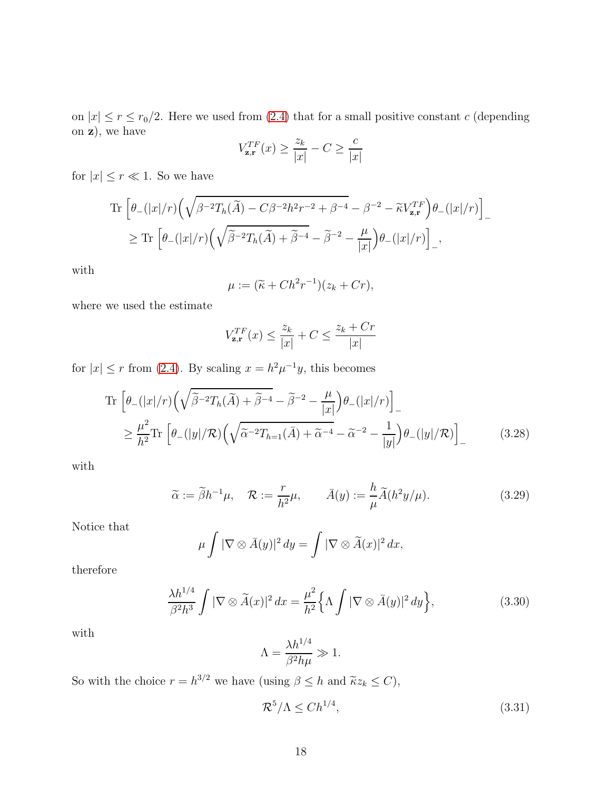on  $|x| \le r \le r_0/2$ . Here we used from [\(2.4\)](#page-5-3) that for a small positive constant c (depending on z), we have

$$
V_{\mathbf{z},\mathbf{r}}^{TF}(x) \ge \frac{z_k}{|x|} - C \ge \frac{c}{|x|}
$$

for  $|x| \leq r \ll 1$ . So we have

$$
\begin{split} \operatorname{Tr}\Big[\theta_{-}(|x|/r)\Big(\sqrt{\beta^{-2}T_{h}(\widetilde{A})-C\beta^{-2}h^{2}r^{-2}+\beta^{-4}}-\beta^{-2}-\widetilde{\kappa}V_{\mathbf{z},\mathbf{r}}^{TF}\Big)\theta_{-}(|x|/r)\Big]_{-} \\ \geq \operatorname{Tr}\Big[\theta_{-}(|x|/r)\Big(\sqrt{\widetilde{\beta}^{-2}T_{h}(\widetilde{A})+\widetilde{\beta}^{-4}}-\widetilde{\beta}^{-2}-\frac{\mu}{|x|}\Big)\theta_{-}(|x|/r)\Big]_{-}, \end{split}
$$

with

$$
\mu := (\widetilde{\kappa} + Ch^2r^{-1})(z_k + Cr),
$$

where we used the estimate

$$
V_{\mathbf{z},\mathbf{r}}^{TF}(x) \le \frac{z_k}{|x|} + C \le \frac{z_k + Cr}{|x|}
$$

for  $|x| \le r$  from [\(2.4\)](#page-5-3). By scaling  $x = h^2 \mu^{-1} y$ , this becomes

$$
\operatorname{Tr}\left[\theta_{-}(|x|/r)\left(\sqrt{\tilde{\beta}^{-2}T_{h}(\tilde{A})+\tilde{\beta}^{-4}}-\tilde{\beta}^{-2}-\frac{\mu}{|x|}\right)\theta_{-}(|x|/r)\right]_{-}
$$
\n
$$
\geq \frac{\mu^{2}}{h^{2}}\operatorname{Tr}\left[\theta_{-}(|y|/\mathcal{R})\left(\sqrt{\tilde{\alpha}^{-2}T_{h=1}(\bar{A})+\tilde{\alpha}^{-4}}-\tilde{\alpha}^{-2}-\frac{1}{|y|}\right)\theta_{-}(|y|/\mathcal{R})\right]_{-} \tag{3.28}
$$

with

$$
\widetilde{\alpha} := \widetilde{\beta}h^{-1}\mu, \quad \mathcal{R} := \frac{r}{h^2}\mu, \qquad \bar{A}(y) := \frac{h}{\mu}\widetilde{A}(h^2y/\mu). \tag{3.29}
$$

Notice that

$$
\mu \int |\nabla \otimes \overline{A}(y)|^2 dy = \int |\nabla \otimes \widetilde{A}(x)|^2 dx,
$$

therefore

$$
\frac{\lambda h^{1/4}}{\beta^2 h^3} \int |\nabla \otimes \widetilde{A}(x)|^2 dx = \frac{\mu^2}{h^2} \Big\{ \Lambda \int |\nabla \otimes \bar{A}(y)|^2 dy \Big\},\tag{3.30}
$$

with

$$
\Lambda = \frac{\lambda h^{1/4}}{\beta^2 h \mu} \gg 1.
$$

So with the choice  $r = h^{3/2}$  we have (using  $\beta \leq h$  and  $\tilde{\kappa}z_k \leq C$ ),

$$
\mathcal{R}^5/\Lambda \le Ch^{1/4},\tag{3.31}
$$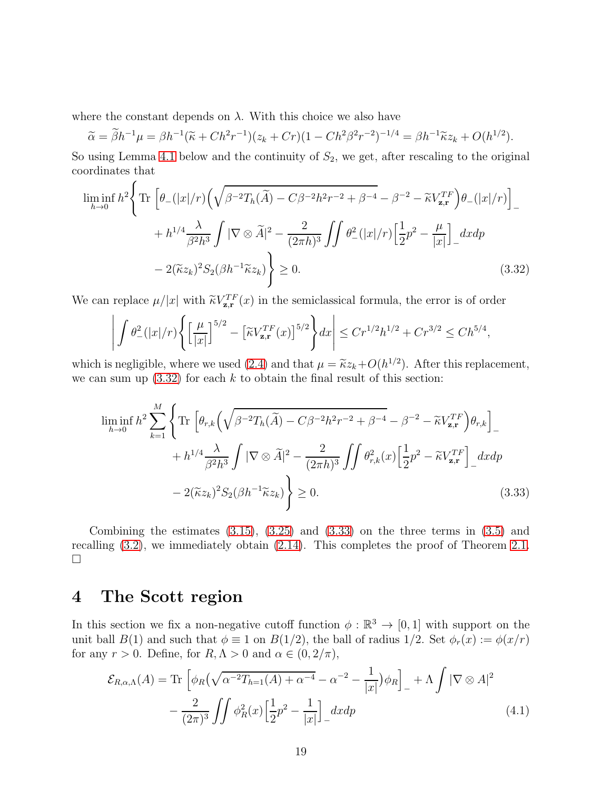where the constant depends on  $\lambda$ . With this choice we also have

$$
\widetilde{\alpha} = \widetilde{\beta}h^{-1}\mu = \beta h^{-1}(\widetilde{\kappa} + Ch^2r^{-1})(z_k + Cr)(1 - Ch^2\beta^2r^{-2})^{-1/4} = \beta h^{-1}\widetilde{\kappa}z_k + O(h^{1/2}).
$$

So using Lemma [4.1](#page-19-0) below and the continuity of  $S_2$ , we get, after rescaling to the original coordinates that

$$
\liminf_{h \to 0} h^2 \left\{ \text{Tr} \left[ \theta_-(|x|/r) \left( \sqrt{\beta^{-2} T_h(\widetilde{A}) - C \beta^{-2} h^2 r^{-2} + \beta^{-4}} - \beta^{-2} - \widetilde{\kappa} V_{\mathbf{z}, \mathbf{r}}^{TF} \right) \theta_-(|x|/r) \right]_+ + h^{1/4} \frac{\lambda}{\beta^2 h^3} \int |\nabla \otimes \widetilde{A}|^2 - \frac{2}{(2\pi h)^3} \iint \theta_-^2(|x|/r) \left[ \frac{1}{2} p^2 - \frac{\mu}{|x|} \right]_- dxdp
$$

$$
- 2(\widetilde{\kappa} z_k)^2 S_2(\beta h^{-1} \widetilde{\kappa} z_k) \right\} \ge 0. \tag{3.32}
$$

We can replace  $\mu/|x|$  with  $\tilde{\kappa}V_{\mathbf{z},\mathbf{r}}^{TF}(x)$  in the semiclassical formula, the error is of order

<span id="page-18-1"></span>
$$
\left| \int \theta_-^2(|x|/r) \Bigg\{ \Big[\frac{\mu}{|x|}\Big]^{5/2} - \Big[ \widetilde{\kappa} V_{\mathbf{z},\mathbf{r}}^{TF}(x) \Big]^{5/2} \Bigg\} dx \right| \leq C r^{1/2} h^{1/2} + C r^{3/2} \leq C h^{5/4},
$$

which is negligible, where we used [\(2.4\)](#page-5-3) and that  $\mu = \tilde{\kappa} z_k + O(h^{1/2})$ . After this replacement, we can sum up  $(3.32)$  for each k to obtain the final result of this section:

<span id="page-18-2"></span>
$$
\liminf_{h \to 0} h^2 \sum_{k=1}^M \left\{ \text{Tr} \left[ \theta_{r,k} \left( \sqrt{\beta^{-2} T_h(\tilde{A}) - C \beta^{-2} h^2 r^{-2} + \beta^{-4}} - \beta^{-2} - \tilde{\kappa} V_{\mathbf{z},\mathbf{r}}^{TF} \right) \theta_{r,k} \right]_{-} + h^{1/4} \frac{\lambda}{\beta^2 h^3} \int |\nabla \otimes \tilde{A}|^2 - \frac{2}{(2\pi h)^3} \int \theta_{r,k}^2(x) \left[ \frac{1}{2} p^2 - \tilde{\kappa} V_{\mathbf{z},\mathbf{r}}^{TF} \right]_{-} dx dp - 2(\tilde{\kappa} z_k)^2 S_2(\beta h^{-1} \tilde{\kappa} z_k) \right\} \ge 0.
$$
\n(3.33)

Combining the estimates  $(3.15)$ ,  $(3.25)$  and  $(3.33)$  on the three terms in  $(3.5)$  and recalling [\(3.2\)](#page-10-3), we immediately obtain [\(2.14\)](#page-7-4). This completes the proof of Theorem [2.1.](#page-7-1)  $\Box$ 

# <span id="page-18-0"></span>4 The Scott region

In this section we fix a non-negative cutoff function  $\phi : \mathbb{R}^3 \to [0,1]$  with support on the unit ball  $B(1)$  and such that  $\phi \equiv 1$  on  $B(1/2)$ , the ball of radius  $1/2$ . Set  $\phi_r(x) := \phi(x/r)$ for any  $r > 0$ . Define, for  $R, \Lambda > 0$  and  $\alpha \in (0, 2/\pi)$ ,

$$
\mathcal{E}_{R,\alpha,\Lambda}(A) = \text{Tr}\left[\phi_R\left(\sqrt{\alpha^{-2}T_{h=1}(A) + \alpha^{-4}} - \alpha^{-2} - \frac{1}{|x|}\right)\phi_R\right]_+ + \Lambda \int |\nabla \otimes A|^2
$$

$$
-\frac{2}{(2\pi)^3} \iint \phi_R^2(x) \left[\frac{1}{2}p^2 - \frac{1}{|x|}\right]_+ dx dp \tag{4.1}
$$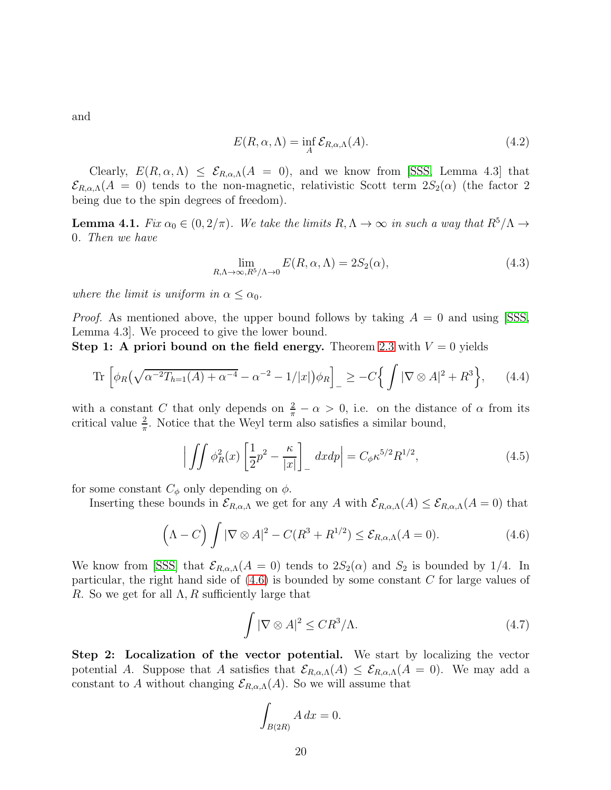and

$$
E(R, \alpha, \Lambda) = \inf_{A} \mathcal{E}_{R, \alpha, \Lambda}(A). \tag{4.2}
$$

Clearly,  $E(R, \alpha, \Lambda) \leq \mathcal{E}_{R,\alpha,\Lambda}(A = 0)$ , and we know from [\[SSS,](#page-33-0) Lemma 4.3] that  $\mathcal{E}_{R,\alpha,\Lambda}(A = 0)$  tends to the non-magnetic, relativistic Scott term  $2S_2(\alpha)$  (the factor 2 being due to the spin degrees of freedom).

<span id="page-19-0"></span>**Lemma 4.1.** Fix  $\alpha_0 \in (0, 2/\pi)$ . We take the limits  $R, \Lambda \to \infty$  in such a way that  $R^5/\Lambda \to$ 0. Then we have

<span id="page-19-3"></span>
$$
\lim_{R,\Lambda \to \infty, R^5/\Lambda \to 0} E(R,\alpha,\Lambda) = 2S_2(\alpha),\tag{4.3}
$$

where the limit is uniform in  $\alpha \leq \alpha_0$ .

*Proof.* As mentioned above, the upper bound follows by taking  $A = 0$  and using SSS, Lemma 4.3]. We proceed to give the lower bound.

Step 1: A priori bound on the field energy. Theorem [2.3](#page-9-0) with  $V = 0$  yields

Tr 
$$
\left[ \phi_R(\sqrt{\alpha^{-2}T_{h=1}(A) + \alpha^{-4}} - \alpha^{-2} - 1/|x|) \phi_R \right]_-\geq -C\left\{ \int |\nabla \otimes A|^2 + R^3 \right\},
$$
 (4.4)

with a constant C that only depends on  $\frac{2}{\pi} - \alpha > 0$ , i.e. on the distance of  $\alpha$  from its critical value  $\frac{2}{\pi}$ . Notice that the Weyl term also satisfies a similar bound,

$$
\left| \iint \phi_R^2(x) \left[ \frac{1}{2} p^2 - \frac{\kappa}{|x|} \right] \right| dx dp \right| = C_\phi \kappa^{5/2} R^{1/2}, \tag{4.5}
$$

for some constant  $C_{\phi}$  only depending on  $\phi$ .

Inserting these bounds in  $\mathcal{E}_{R,\alpha,\Lambda}$  we get for any A with  $\mathcal{E}_{R,\alpha,\Lambda}(A) \leq \mathcal{E}_{R,\alpha,\Lambda}(A=0)$  that

$$
\left(\Lambda - C\right) \int |\nabla \otimes A|^2 - C(R^3 + R^{1/2}) \leq \mathcal{E}_{R,\alpha,\Lambda}(A=0). \tag{4.6}
$$

We know from [\[SSS\]](#page-33-0) that  $\mathcal{E}_{R,\alpha,\Lambda}(A=0)$  tends to  $2S_2(\alpha)$  and  $S_2$  is bounded by 1/4. In particular, the right hand side of [\(4.6\)](#page-19-1) is bounded by some constant C for large values of R. So we get for all  $\Lambda$ , R sufficiently large that

<span id="page-19-4"></span><span id="page-19-1"></span>
$$
\int |\nabla \otimes A|^2 \le C R^3 / \Lambda. \tag{4.7}
$$

Step 2: Localization of the vector potential. We start by localizing the vector potential A. Suppose that A satisfies that  $\mathcal{E}_{R,\alpha,\Lambda}(A) \leq \mathcal{E}_{R,\alpha,\Lambda}(A = 0)$ . We may add a constant to A without changing  $\mathcal{E}_{R,\alpha,\Lambda}(A)$ . So we will assume that

<span id="page-19-2"></span>
$$
\int_{B(2R)} A \, dx = 0.
$$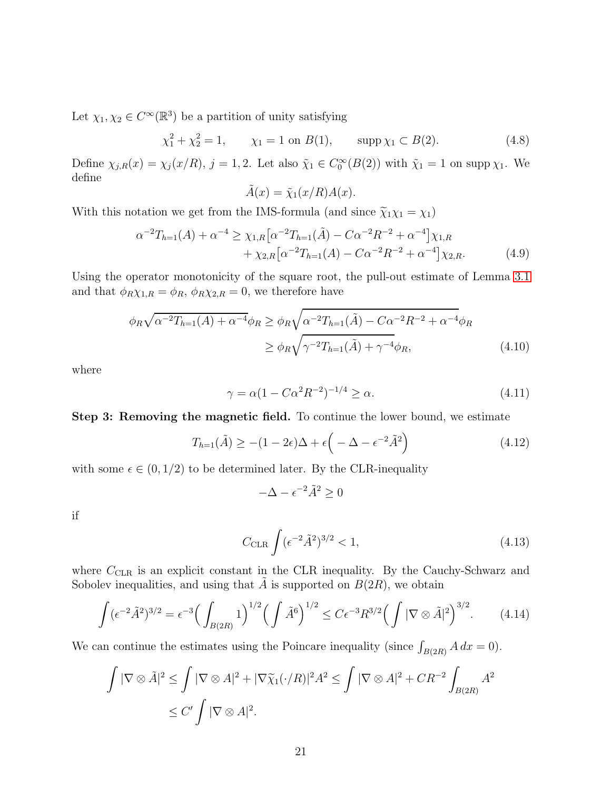Let  $\chi_1, \chi_2 \in C^{\infty}(\mathbb{R}^3)$  be a partition of unity satisfying

 $\chi_1^2 + \chi_2^2 = 1,$   $\chi_1 = 1$  on  $B(1)$ ,  $\text{supp }\chi_1 \subset B(2)$ . (4.8)

Define  $\chi_{j,R}(x) = \chi_j(x/R)$ ,  $j = 1, 2$ . Let also  $\tilde{\chi}_1 \in C_0^{\infty}(B(2))$  with  $\tilde{\chi}_1 = 1$  on supp  $\chi_1$ . We define

$$
\tilde{A}(x) = \tilde{\chi}_1(x/R)A(x).
$$

With this notation we get from the IMS-formula (and since  $\tilde{\chi}_1 \chi_1 = \chi_1$ )

$$
\alpha^{-2}T_{h=1}(A) + \alpha^{-4} \ge \chi_{1,R}\big[\alpha^{-2}T_{h=1}(\tilde{A}) - C\alpha^{-2}R^{-2} + \alpha^{-4}\big]\chi_{1,R} + \chi_{2,R}\big[\alpha^{-2}T_{h=1}(A) - C\alpha^{-2}R^{-2} + \alpha^{-4}\big]\chi_{2,R}.
$$
(4.9)

Using the operator monotonicity of the square root, the pull-out estimate of Lemma [3.1](#page-10-0) and that  $\phi_R \chi_{1,R} = \phi_R$ ,  $\phi_R \chi_{2,R} = 0$ , we therefore have

$$
\phi_R \sqrt{\alpha^{-2} T_{h=1}(A) + \alpha^{-4}} \phi_R \ge \phi_R \sqrt{\alpha^{-2} T_{h=1}(\tilde{A}) - C \alpha^{-2} R^{-2} + \alpha^{-4}} \phi_R
$$
  

$$
\ge \phi_R \sqrt{\gamma^{-2} T_{h=1}(\tilde{A}) + \gamma^{-4}} \phi_R,
$$
(4.10)

where

$$
\gamma = \alpha (1 - C\alpha^2 R^{-2})^{-1/4} \ge \alpha.
$$
\n(4.11)

Step 3: Removing the magnetic field. To continue the lower bound, we estimate

$$
T_{h=1}(\tilde{A}) \ge -(1 - 2\epsilon)\Delta + \epsilon \left(-\Delta - \epsilon^{-2}\tilde{A}^2\right) \tag{4.12}
$$

with some  $\epsilon \in (0, 1/2)$  to be determined later. By the CLR-inequality

<span id="page-20-2"></span><span id="page-20-1"></span>
$$
-\Delta - \epsilon^{-2} \tilde{A}^2 \ge 0
$$

if

<span id="page-20-0"></span>
$$
C_{\rm CLR} \int (\epsilon^{-2} \tilde{A}^2)^{3/2} < 1,\tag{4.13}
$$

where  $C_{CLR}$  is an explicit constant in the CLR inequality. By the Cauchy-Schwarz and Sobolev inequalities, and using that A is supported on  $B(2R)$ , we obtain

$$
\int (\epsilon^{-2} \tilde{A}^2)^{3/2} = \epsilon^{-3} \Big( \int_{B(2R)} 1 \Big)^{1/2} \Big( \int \tilde{A}^6 \Big)^{1/2} \le C \epsilon^{-3} R^{3/2} \Big( \int |\nabla \otimes \tilde{A}|^2 \Big)^{3/2}.
$$
 (4.14)

We can continue the estimates using the Poincare inequality (since  $\int_{B(2R)} A dx = 0$ ).

$$
\int |\nabla \otimes \tilde{A}|^2 \le \int |\nabla \otimes A|^2 + |\nabla \tilde{\chi}_1(\cdot/R)|^2 A^2 \le \int |\nabla \otimes A|^2 + CR^{-2} \int_{B(2R)} A^2
$$
  

$$
\le C' \int |\nabla \otimes A|^2.
$$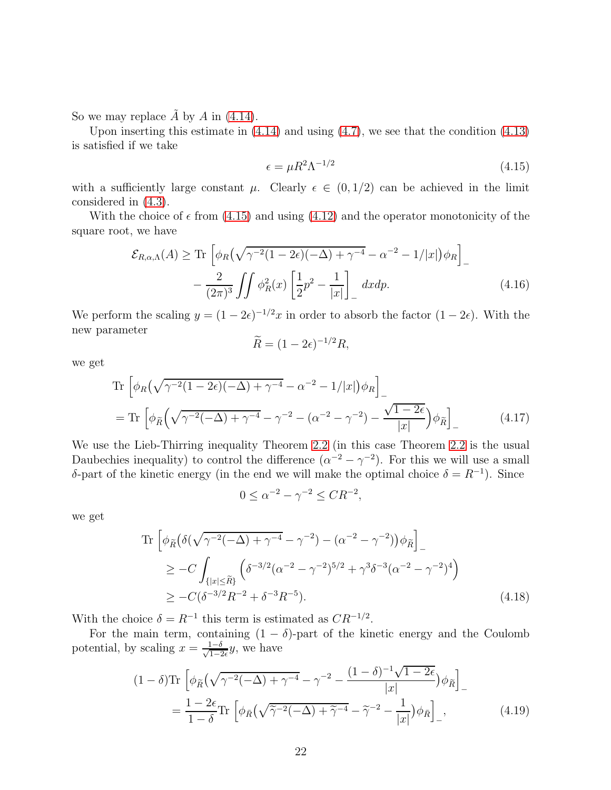So we may replace  $\tilde{A}$  by A in [\(4.14\)](#page-20-0).

Upon inserting this estimate in  $(4.14)$  and using  $(4.7)$ , we see that the condition  $(4.13)$ is satisfied if we take

<span id="page-21-0"></span>
$$
\epsilon = \mu R^2 \Lambda^{-1/2} \tag{4.15}
$$

with a sufficiently large constant  $\mu$ . Clearly  $\epsilon \in (0, 1/2)$  can be achieved in the limit considered in [\(4.3\)](#page-19-3).

With the choice of  $\epsilon$  from [\(4.15\)](#page-21-0) and using [\(4.12\)](#page-20-2) and the operator monotonicity of the square root, we have

$$
\mathcal{E}_{R,\alpha,\Lambda}(A) \ge \text{Tr}\left[\phi_R\left(\sqrt{\gamma^{-2}(1-2\epsilon)(-\Delta)+\gamma^{-4}}-\alpha^{-2}-1/|x|\right)\phi_R\right]_-\right.
$$

$$
-\frac{2}{(2\pi)^3}\iint \phi_R^2(x)\left[\frac{1}{2}p^2-\frac{1}{|x|}\right]_-\,dxdp.\tag{4.16}
$$

We perform the scaling  $y = (1 - 2\epsilon)^{-1/2}x$  in order to absorb the factor  $(1 - 2\epsilon)$ . With the new parameter

<span id="page-21-1"></span>
$$
\widetilde{R} = (1 - 2\epsilon)^{-1/2} R,
$$

we get

Tr 
$$
\left[ \phi_R(\sqrt{\gamma^{-2}(1-2\epsilon)(-\Delta) + \gamma^{-4}} - \alpha^{-2} - 1/|x|) \phi_R \right]_-
$$
  
= Tr  $\left[ \phi_{\tilde{R}}(\sqrt{\gamma^{-2}(-\Delta) + \gamma^{-4}} - \gamma^{-2} - (\alpha^{-2} - \gamma^{-2}) - \frac{\sqrt{1-2\epsilon}}{|x|} \right) \phi_{\tilde{R}} \right]_-(4.17)$ 

We use the Lieb-Thirring inequality Theorem [2.2](#page-8-0) (in this case Theorem [2.2](#page-8-0) is the usual Daubechies inequality) to control the difference  $(\alpha^{-2} - \gamma^{-2})$ . For this we will use a small δ-part of the kinetic energy (in the end we will make the optimal choice  $\delta = R^{-1}$ ). Since

$$
0 \le \alpha^{-2} - \gamma^{-2} \le CR^{-2},
$$

we get

Tr 
$$
\left[ \phi_{\tilde{R}} \left( \delta(\sqrt{\gamma^{-2}(-\Delta) + \gamma^{-4}} - \gamma^{-2}) - (\alpha^{-2} - \gamma^{-2}) \right) \phi_{\tilde{R}} \right]_{-}
$$
  
\n
$$
\geq -C \int_{\{|x| \leq \tilde{R}\}} \left( \delta^{-3/2} (\alpha^{-2} - \gamma^{-2})^{5/2} + \gamma^3 \delta^{-3} (\alpha^{-2} - \gamma^{-2})^4 \right)
$$
  
\n
$$
\geq -C(\delta^{-3/2} R^{-2} + \delta^{-3} R^{-5}).
$$
\n(4.18)

With the choice  $\delta = R^{-1}$  this term is estimated as  $CR^{-1/2}$ .

For the main term, containing  $(1 - \delta)$ -part of the kinetic energy and the Coulomb potential, by scaling  $x = \frac{1-\delta}{\sqrt{1-\delta}}$  $\frac{1-\delta}{1-2\epsilon}y$ , we have

$$
(1 - \delta)\mathrm{Tr}\left[\phi_{\tilde{R}}\left(\sqrt{\gamma^{-2}(-\Delta) + \gamma^{-4}} - \gamma^{-2} - \frac{(1 - \delta)^{-1}\sqrt{1 - 2\epsilon}}{|x|}\right)\phi_{\tilde{R}}\right]_{-}
$$

$$
= \frac{1 - 2\epsilon}{1 - \delta}\mathrm{Tr}\left[\phi_{\tilde{R}}\left(\sqrt{\tilde{\gamma}^{-2}(-\Delta) + \tilde{\gamma}^{-4}} - \tilde{\gamma}^{-2} - \frac{1}{|x|}\right)\phi_{\tilde{R}}\right]_{-},\tag{4.19}
$$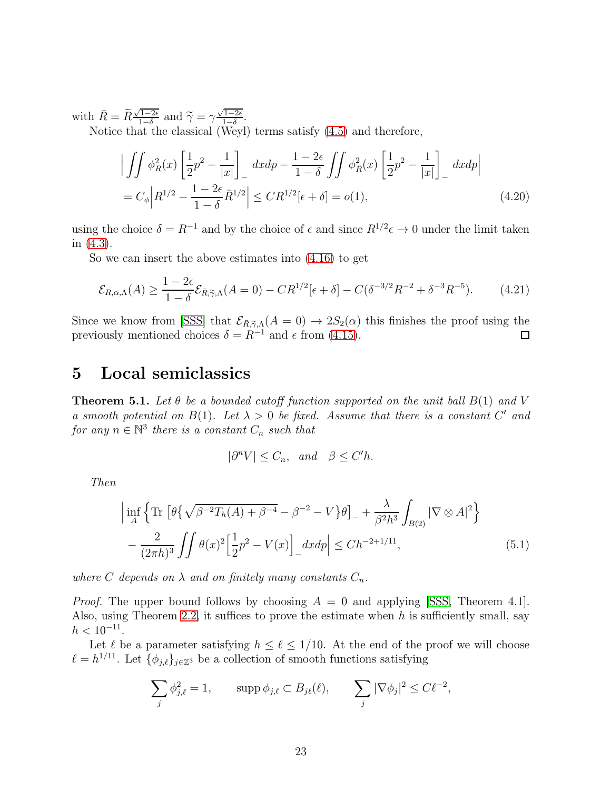with  $\bar{R} = \widetilde{R} \frac{\sqrt{1-2\epsilon}}{1-\delta}$  $\frac{\sqrt{1-2\epsilon}}{1-\delta}$  and  $\widetilde{\gamma} = \gamma \frac{\sqrt{1-2\epsilon}}{1-\delta}$  $\frac{1-2\epsilon}{1-\delta}$ . Notice that the classical (Weyl) terms satisfy [\(4.5\)](#page-19-4) and therefore,

$$
\left| \iint \phi_R^2(x) \left[ \frac{1}{2} p^2 - \frac{1}{|x|} \right] \right| \, dx \, dp - \frac{1 - 2\epsilon}{1 - \delta} \iint \phi_R^2(x) \left[ \frac{1}{2} p^2 - \frac{1}{|x|} \right] \, dx \, dp
$$
\n
$$
= C_\phi \left| R^{1/2} - \frac{1 - 2\epsilon}{1 - \delta} \bar{R}^{1/2} \right| \le C R^{1/2} [\epsilon + \delta] = o(1), \tag{4.20}
$$

using the choice  $\delta = R^{-1}$  and by the choice of  $\epsilon$  and since  $R^{1/2} \epsilon \to 0$  under the limit taken in [\(4.3\)](#page-19-3).

So we can insert the above estimates into [\(4.16\)](#page-21-1) to get

$$
\mathcal{E}_{R,\alpha,\Lambda}(A) \ge \frac{1 - 2\epsilon}{1 - \delta} \mathcal{E}_{\bar{R},\tilde{\gamma},\Lambda}(A=0) - C R^{1/2} [\epsilon + \delta] - C(\delta^{-3/2} R^{-2} + \delta^{-3} R^{-5}).\tag{4.21}
$$

Since we know from [\[SSS\]](#page-33-0) that  $\mathcal{E}_{\bar{R}, \tilde{\gamma}, \Lambda}(A = 0) \rightarrow 2S_2(\alpha)$  this finishes the proof using the previously mentioned choices  $\delta = R^{-1}$  and  $\epsilon$  from [\(4.15\)](#page-21-0).

# <span id="page-22-0"></span>5 Local semiclassics

<span id="page-22-1"></span>**Theorem 5.1.** Let  $\theta$  be a bounded cutoff function supported on the unit ball  $B(1)$  and V a smooth potential on  $B(1)$ . Let  $\lambda > 0$  be fixed. Assume that there is a constant C' and for any  $n \in \mathbb{N}^3$  there is a constant  $C_n$  such that

$$
|\partial^n V| \le C_n, \quad and \quad \beta \le C'h.
$$

Then

$$
\left| \inf_{A} \left\{ \text{Tr} \left[ \theta \{ \sqrt{\beta^{-2} T_h(A) + \beta^{-4}} - \beta^{-2} - V \} \theta \right]_{-} + \frac{\lambda}{\beta^2 h^3} \int_{B(2)} |\nabla \otimes A|^2 \right\} - \frac{2}{(2\pi h)^3} \iint \theta(x)^2 \left[ \frac{1}{2} p^2 - V(x) \right]_{-} dx dp \right| \le C h^{-2+1/11}, \tag{5.1}
$$

where C depends on  $\lambda$  and on finitely many constants  $C_n$ .

*Proof.* The upper bound follows by choosing  $A = 0$  and applying [\[SSS,](#page-33-0) Theorem 4.1]. Also, using Theorem [2.2,](#page-8-0) it suffices to prove the estimate when h is sufficiently small, say  $h < 10^{-11}$ .

Let  $\ell$  be a parameter satisfying  $h \leq \ell \leq 1/10$ . At the end of the proof we will choose  $\ell = h^{1/11}$ . Let  $\{\phi_{j,\ell}\}_{j \in \mathbb{Z}^3}$  be a collection of smooth functions satisfying

$$
\sum_{j} \phi_{j,\ell}^2 = 1, \qquad \text{supp }\phi_{j,\ell} \subset B_{j\ell}(\ell), \qquad \sum_{j} |\nabla \phi_j|^2 \le C\ell^{-2},
$$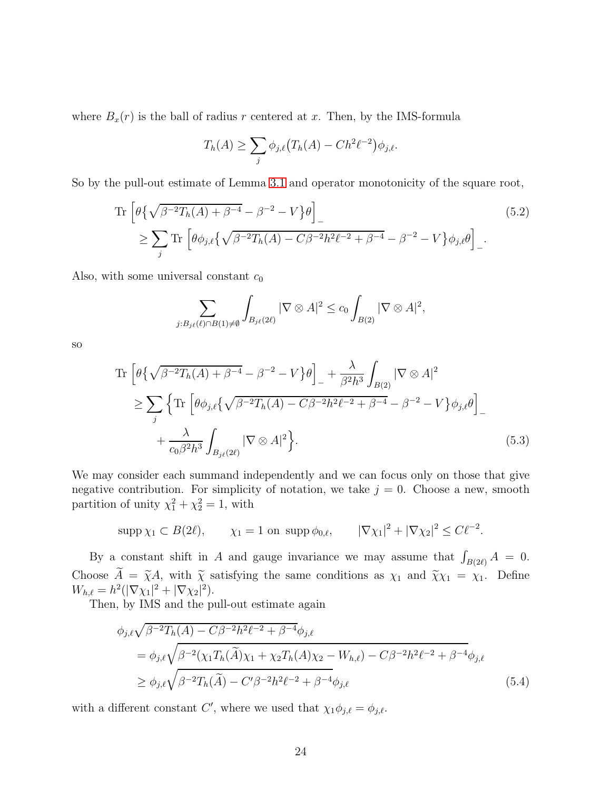where  $B_x(r)$  is the ball of radius r centered at x. Then, by the IMS-formula

$$
T_h(A) \ge \sum_j \phi_{j,\ell} (T_h(A) - C h^2 \ell^{-2}) \phi_{j,\ell}.
$$

So by the pull-out estimate of Lemma [3.1](#page-10-0) and operator monotonicity of the square root,

Tr 
$$
\left[\theta \{\sqrt{\beta^{-2}T_h(A) + \beta^{-4}} - \beta^{-2} - V \} \theta \right]
$$
  
\n $\ge \sum_j$ Tr  $\left[\theta \phi_{j,\ell} \{\sqrt{\beta^{-2}T_h(A) - C\beta^{-2}h^2\ell^{-2} + \beta^{-4}} - \beta^{-2} - V \} \phi_{j,\ell} \theta \right]$  (5.2)

Also, with some universal constant  $c_0$ 

<span id="page-23-0"></span>
$$
\sum_{j:B_{j\ell}(\ell)\cap B(1)\neq\emptyset}\int_{B_{j\ell}(2\ell)}|\nabla\otimes A|^2\leq c_0\int_{B(2)}|\nabla\otimes A|^2,
$$

so

$$
\operatorname{Tr}\left[\theta\{\sqrt{\beta^{-2}T_h(A)+\beta^{-4}}-\beta^{-2}-V\}\theta\right]_- + \frac{\lambda}{\beta^2h^3}\int_{B(2)}|\nabla\otimes A|^2
$$
  
\n
$$
\geq \sum_j \left\{\operatorname{Tr}\left[\theta\phi_{j,\ell}\{\sqrt{\beta^{-2}T_h(A)-C\beta^{-2}h^2\ell^{-2}+\beta^{-4}}-\beta^{-2}-V\}\phi_{j,\ell}\theta\right]_- + \frac{\lambda}{c_0\beta^2h^3}\int_{B_{j\ell}(2\ell)}|\nabla\otimes A|^2\right\}.
$$
\n(5.3)

We may consider each summand independently and we can focus only on those that give negative contribution. For simplicity of notation, we take  $j = 0$ . Choose a new, smooth partition of unity  $\chi_1^2 + \chi_2^2 = 1$ , with

$$
\sup p \chi_1 \subset B(2\ell),
$$
  $\chi_1 = 1$  on  $\sup p \phi_{0,\ell},$   $|\nabla \chi_1|^2 + |\nabla \chi_2|^2 \leq C \ell^{-2}.$ 

By a constant shift in A and gauge invariance we may assume that  $\int_{B(2\ell)} A = 0$ . Choose  $\tilde{A} = \tilde{\chi}A$ , with  $\tilde{\chi}$  satisfying the same conditions as  $\chi_1$  and  $\tilde{\chi}\chi_1 = \chi_1$ . Define  $W_{h,\ell} = h^2(|\nabla \chi_1|^2 + |\nabla \chi_2|^2).$ 

Then, by IMS and the pull-out estimate again

$$
\phi_{j,\ell}\sqrt{\beta^{-2}T_h(A) - C\beta^{-2}h^2\ell^{-2} + \beta^{-4}}\phi_{j,\ell}
$$
\n
$$
= \phi_{j,\ell}\sqrt{\beta^{-2}(\chi_1T_h(\widetilde{A})\chi_1 + \chi_2T_h(A)\chi_2 - W_{h,\ell}) - C\beta^{-2}h^2\ell^{-2} + \beta^{-4}}\phi_{j,\ell}
$$
\n
$$
\geq \phi_{j,\ell}\sqrt{\beta^{-2}T_h(\widetilde{A}) - C'\beta^{-2}h^2\ell^{-2} + \beta^{-4}}\phi_{j,\ell}
$$
\n(5.4)

with a different constant C', where we used that  $\chi_1 \phi_{j,\ell} = \phi_{j,\ell}$ .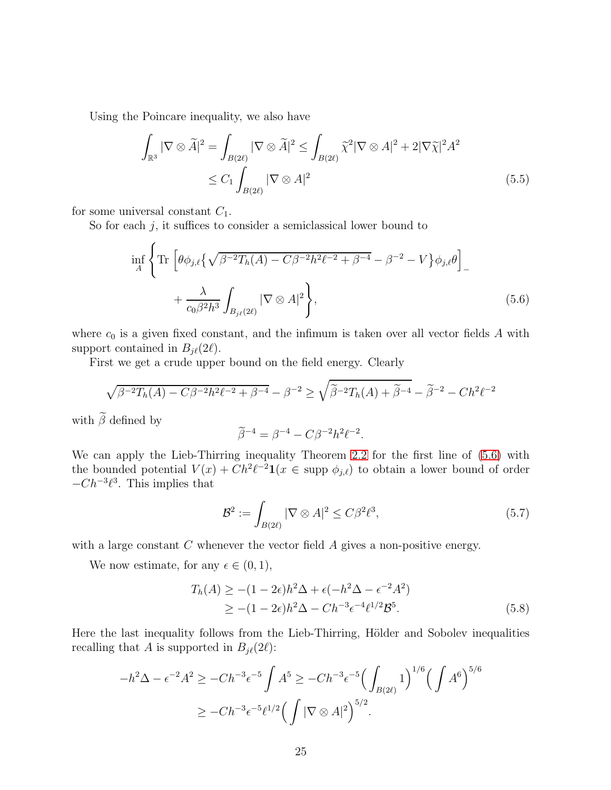Using the Poincare inequality, we also have

$$
\int_{\mathbb{R}^3} |\nabla \otimes \widetilde{A}|^2 = \int_{B(2\ell)} |\nabla \otimes \widetilde{A}|^2 \le \int_{B(2\ell)} \widetilde{\chi}^2 |\nabla \otimes A|^2 + 2|\nabla \widetilde{\chi}|^2 A^2
$$
\n
$$
\le C_1 \int_{B(2\ell)} |\nabla \otimes A|^2 \tag{5.5}
$$

for some universal constant  $C_1$ .

So for each  $j$ , it suffices to consider a semiclassical lower bound to

$$
\inf_{A} \left\{ \operatorname{Tr} \left[ \theta \phi_{j,\ell} \left\{ \sqrt{\beta^{-2} T_h(A) - C \beta^{-2} h^2 \ell^{-2} + \beta^{-4}} - \beta^{-2} - V \right\} \phi_{j,\ell} \theta \right]_{-} + \frac{\lambda}{c_0 \beta^2 h^3} \int_{B_{j\ell}(2\ell)} |\nabla \otimes A|^2 \right\},\tag{5.6}
$$

where  $c_0$  is a given fixed constant, and the infimum is taken over all vector fields  $A$  with support contained in  $B_{i\ell}(2\ell)$ .

First we get a crude upper bound on the field energy. Clearly

$$
\sqrt{\beta^{-2}T_h(A) - C\beta^{-2}h^2\ell^{-2} + \beta^{-4}} - \beta^{-2} \ge \sqrt{\widetilde{\beta}^{-2}T_h(A) + \widetilde{\beta}^{-4}} - \widetilde{\beta}^{-2} - Ch^2\ell^{-2}
$$

with  $\widetilde{\beta}$  defined by

<span id="page-24-1"></span><span id="page-24-0"></span>
$$
\widetilde{\beta}^{-4}=\beta^{-4}-C\beta^{-2}h^2\ell^{-2}.
$$

We can apply the Lieb-Thirring inequality Theorem [2.2](#page-8-0) for the first line of [\(5.6\)](#page-24-0) with the bounded potential  $V(x) + Ch^2\ell^{-2}\mathbf{1}(x \in \text{supp }\phi_{j,\ell})$  to obtain a lower bound of order  $-Ch^{-3}\ell^3$ . This implies that

<span id="page-24-2"></span>
$$
\mathcal{B}^2 := \int_{B(2\ell)} |\nabla \otimes A|^2 \le C\beta^2 \ell^3,\tag{5.7}
$$

with a large constant  $C$  whenever the vector field  $A$  gives a non-positive energy.

We now estimate, for any  $\epsilon \in (0, 1)$ ,

$$
T_h(A) \ge -(1 - 2\epsilon)h^2\Delta + \epsilon(-h^2\Delta - \epsilon^{-2}A^2)
$$
  
\n
$$
\ge -(1 - 2\epsilon)h^2\Delta - Ch^{-3}\epsilon^{-4}\ell^{1/2}\mathcal{B}^5.
$$
\n(5.8)

Here the last inequality follows from the Lieb-Thirring, Hölder and Sobolev inequalities recalling that A is supported in  $B_{j\ell}(2\ell)$ :

$$
-h^{2}\Delta - \epsilon^{-2}A^{2} \ge -Ch^{-3}\epsilon^{-5} \int A^{5} \ge -Ch^{-3}\epsilon^{-5} \Big(\int_{B(2\ell)} 1\Big)^{1/6} \Big(\int A^{6}\Big)^{5/6}
$$
  

$$
\ge -Ch^{-3}\epsilon^{-5}\ell^{1/2} \Big(\int |\nabla \otimes A|^{2}\Big)^{5/2}.
$$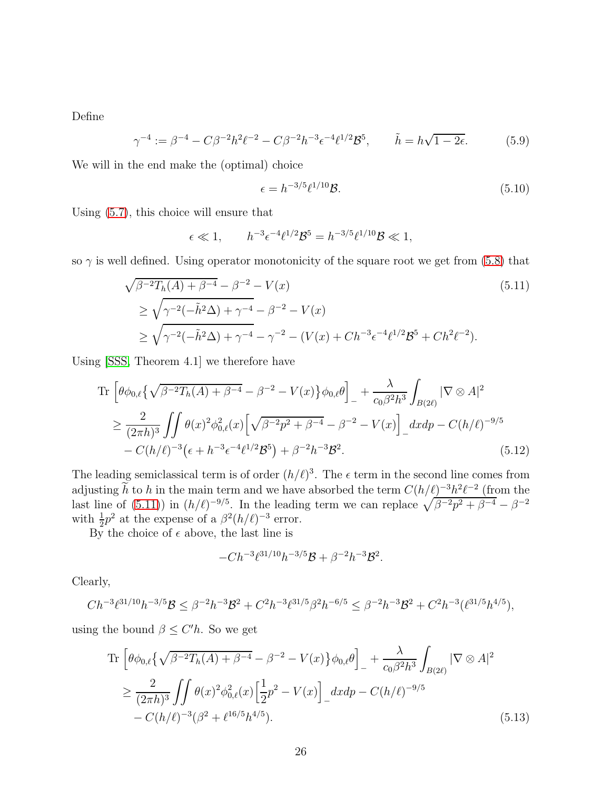Define

$$
\gamma^{-4} := \beta^{-4} - C\beta^{-2}h^2\ell^{-2} - C\beta^{-2}h^{-3}\epsilon^{-4}\ell^{1/2}\mathcal{B}^5, \qquad \tilde{h} = h\sqrt{1 - 2\epsilon}.
$$
 (5.9)

We will in the end make the (optimal) choice

<span id="page-25-0"></span>
$$
\epsilon = h^{-3/5} \ell^{1/10} \mathcal{B}.\tag{5.10}
$$

Using [\(5.7\)](#page-24-1), this choice will ensure that

$$
\epsilon \ll 1, \qquad h^{-3} \epsilon^{-4} \ell^{1/2} \mathcal{B}^5 = h^{-3/5} \ell^{1/10} \mathcal{B} \ll 1,
$$

so  $\gamma$  is well defined. Using operator monotonicity of the square root we get from [\(5.8\)](#page-24-2) that

$$
\sqrt{\beta^{-2}T_h(A) + \beta^{-4}} - \beta^{-2} - V(x)
$$
\n
$$
\geq \sqrt{\gamma^{-2}(-\tilde{h}^2\Delta) + \gamma^{-4}} - \beta^{-2} - V(x)
$$
\n
$$
\geq \sqrt{\gamma^{-2}(-\tilde{h}^2\Delta) + \gamma^{-4}} - \gamma^{-2} - (V(x) + Ch^{-3}\epsilon^{-4}\ell^{1/2}\mathcal{B}^5 + Ch^2\ell^{-2}).
$$
\n(5.11)

Using [\[SSS,](#page-33-0) Theorem 4.1] we therefore have

Tr 
$$
\left[ \theta \phi_{0,\ell} \{ \sqrt{\beta^{-2} T_h(A) + \beta^{-4}} - \beta^{-2} - V(x) \} \phi_{0,\ell} \theta \right]_{-} + \frac{\lambda}{c_0 \beta^2 h^3} \int_{B(2\ell)} |\nabla \otimes A|^2
$$
  
\n
$$
\geq \frac{2}{(2\pi h)^3} \iint \theta(x)^2 \phi_{0,\ell}^2(x) \left[ \sqrt{\beta^{-2} p^2 + \beta^{-4}} - \beta^{-2} - V(x) \right]_{-} dx dp - C(h/\ell)^{-9/5}
$$
  
\n
$$
- C(h/\ell)^{-3} \left( \epsilon + h^{-3} \epsilon^{-4} \ell^{1/2} \mathcal{B}^5 \right) + \beta^{-2} h^{-3} \mathcal{B}^2.
$$
\n(5.12)

The leading semiclassical term is of order  $(h/\ell)^3$ . The  $\epsilon$  term in the second line comes from adjusting h to h in the main term and we have absorbed the term  $C(h/\ell)^{-3}h^2\ell^{-2}$  (from the last line of [\(5.11\)](#page-25-0)) in  $(h/\ell)^{-9/5}$ . In the leading term we can replace  $\sqrt{\beta^{-2}p^2+\beta^{-4}}-\beta^{-2}$ with  $\frac{1}{2}p^2$  at the expense of a  $\beta^2(h/\ell)^{-3}$  error.

By the choice of  $\epsilon$  above, the last line is

<span id="page-25-1"></span>
$$
-Ch^{-3}\ell^{31/10}h^{-3/5}\mathcal{B}+\beta^{-2}h^{-3}\mathcal{B}^2.
$$

Clearly,

$$
Ch^{-3}\ell^{31/10}h^{-3/5}\mathcal{B} \leq \beta^{-2}h^{-3}\mathcal{B}^2 + C^2h^{-3}\ell^{31/5}\beta^2h^{-6/5} \leq \beta^{-2}h^{-3}\mathcal{B}^2 + C^2h^{-3}(\ell^{31/5}h^{4/5}),
$$

using the bound  $\beta \leq C'h$ . So we get

Tr 
$$
\left[\theta\phi_{0,\ell}\left\{\sqrt{\beta^{-2}T_h(A)+\beta^{-4}}-\beta^{-2}-V(x)\right\}\phi_{0,\ell}\theta\right]_+ + \frac{\lambda}{c_0\beta^2h^3}\int_{B(2\ell)}|\nabla\otimes A|^2
$$
  
\n $\geq \frac{2}{(2\pi h)^3}\iint \theta(x)^2\phi_{0,\ell}^2(x)\left[\frac{1}{2}p^2-V(x)\right]_+dxdp - C(h/\ell)^{-9/5}$   
\n $-C(h/\ell)^{-3}(\beta^2+\ell^{16/5}h^{4/5}).$  (5.13)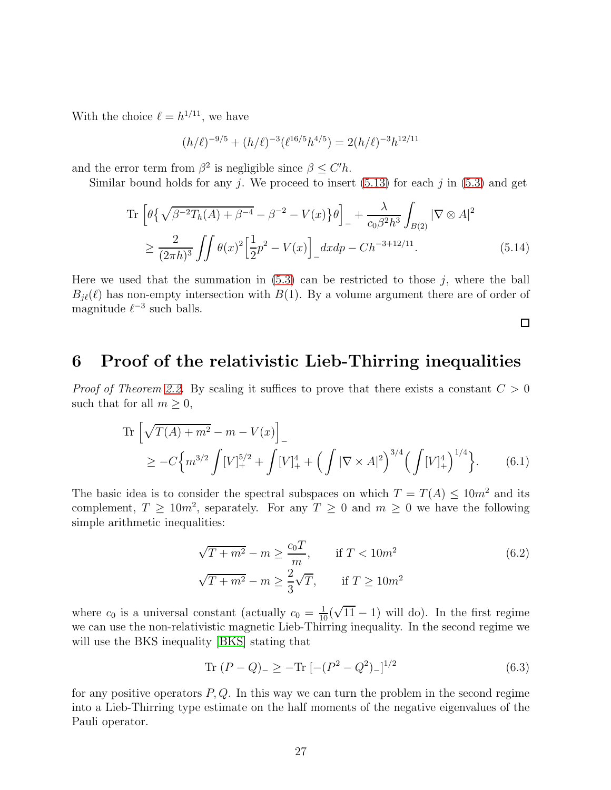With the choice  $\ell = h^{1/11}$ , we have

$$
(h/\ell)^{-9/5} + (h/\ell)^{-3} (\ell^{16/5} h^{4/5}) = 2(h/\ell)^{-3} h^{12/11}
$$

and the error term from  $\beta^2$  is negligible since  $\beta \leq C'h$ .

Similar bound holds for any *i*. We proceed to insert  $(5.13)$  for each *i* in  $(5.3)$  and get

Tr 
$$
\left[\theta \{\sqrt{\beta^{-2}T_h(A) + \beta^{-4}} - \beta^{-2} - V(x)\}\theta\right]_+ + \frac{\lambda}{c_0\beta^2 h^3} \int_{B(2)} |\nabla \otimes A|^2
$$
  
\n $\ge \frac{2}{(2\pi h)^3} \iint \theta(x)^2 \left[\frac{1}{2}p^2 - V(x)\right]_+ dx dp - Ch^{-3+12/11}.$  (5.14)

Here we used that the summation in  $(5.3)$  can be restricted to those j, where the ball  $B_{j\ell}(\ell)$  has non-empty intersection with  $B(1)$ . By a volume argument there are of order of magnitude  $\ell^{-3}$  such balls.

<span id="page-26-2"></span><span id="page-26-1"></span> $\Box$ 

# <span id="page-26-0"></span>6 Proof of the relativistic Lieb-Thirring inequalities

*Proof of Theorem [2.2.](#page-8-0)* By scaling it suffices to prove that there exists a constant  $C > 0$ such that for all  $m > 0$ ,

Tr 
$$
\left[\sqrt{T(A) + m^2} - m - V(x)\right]_{-}
$$
  
\n $\geq -C \left\{ m^{3/2} \int [V]_{+}^{5/2} + \int [V]_{+}^{4} + \left(\int |\nabla \times A|^2\right)^{3/4} \left(\int [V]_{+}^{4}\right)^{1/4} \right\}.$  (6.1)

The basic idea is to consider the spectral subspaces on which  $T = T(A) \leq 10m^2$  and its complement,  $T \ge 10m^2$ , separately. For any  $T \ge 0$  and  $m \ge 0$  we have the following simple arithmetic inequalities:

$$
\sqrt{T + m^2} - m \ge \frac{c_0 T}{m}, \quad \text{if } T < 10m^2
$$
  

$$
\sqrt{T + m^2} - m \ge \frac{2}{3}\sqrt{T}, \quad \text{if } T \ge 10m^2
$$
 (6.2)

where  $c_0$  is a universal constant (actually  $c_0 = \frac{1}{10}(\sqrt{11} - 1)$  will do). In the first regime we can use the non-relativistic magnetic Lieb-Thirring inequality. In the second regime we will use the BKS inequality [\[BKS\]](#page-31-4) stating that

<span id="page-26-3"></span>
$$
Tr (P - Q)_{-} \geq -Tr [-(P^{2} - Q^{2})_{-}]^{1/2}
$$
\n(6.3)

for any positive operators  $P, Q$ . In this way we can turn the problem in the second regime into a Lieb-Thirring type estimate on the half moments of the negative eigenvalues of the Pauli operator.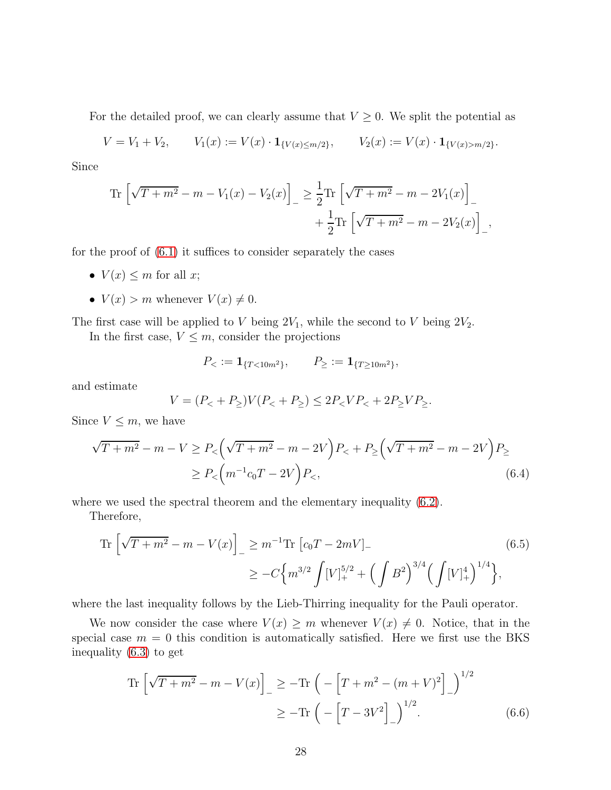For the detailed proof, we can clearly assume that  $V \geq 0$ . We split the potential as

$$
V = V_1 + V_2, \qquad V_1(x) := V(x) \cdot \mathbf{1}_{\{V(x) \le m/2\}}, \qquad V_2(x) := V(x) \cdot \mathbf{1}_{\{V(x) > m/2\}}.
$$

Since

Tr 
$$
\left[\sqrt{T+m^2} - m - V_1(x) - V_2(x)\right]_-\ge \frac{1}{2}\text{Tr}\left[\sqrt{T+m^2} - m - 2V_1(x)\right]_-\n+ \frac{1}{2}\text{Tr}\left[\sqrt{T+m^2} - m - 2V_2(x)\right]_-,
$$

for the proof of  $(6.1)$  it suffices to consider separately the cases

- $V(x) \leq m$  for all x;
- $V(x) > m$  whenever  $V(x) \neq 0$ .

The first case will be applied to V being  $2V_1$ , while the second to V being  $2V_2$ .

In the first case,  $V \leq m$ , consider the projections

<span id="page-27-0"></span>
$$
P_{<}:=\mathbf{1}_{\{T<10m^2\}},\qquad P_{\geq}:=\mathbf{1}_{\{T\geq10m^2\}},
$$

and estimate

$$
V = (P_{<} + P_{\geq})V(P_{<} + P_{\geq}) \leq 2P_{<} VP_{<} + 2P_{\geq} VP_{\geq}.
$$

Since  $V \leq m$ , we have

$$
\sqrt{T+m^2} - m - V \ge P_{<} \left(\sqrt{T+m^2} - m - 2V\right) P_{<} + P_{\ge} \left(\sqrt{T+m^2} - m - 2V\right) P_{\ge} \\
\ge P_{<} \left(m^{-1}c_0T - 2V\right) P_{<} \tag{6.4}
$$

where we used the spectral theorem and the elementary inequality  $(6.2)$ .

Therefore,

Tr 
$$
\left[\sqrt{T+m^2} - m - V(x)\right]_-\geq m^{-1}\text{Tr }[c_0T - 2mV]_-\n\geq -C\left\{m^{3/2}\int [V]_+^{5/2} + \left(\int B^2\right)^{3/4}\left(\int [V]_+^4\right)^{1/4}\right\},
$$
\n(6.5)

where the last inequality follows by the Lieb-Thirring inequality for the Pauli operator.

We now consider the case where  $V(x) \geq m$  whenever  $V(x) \neq 0$ . Notice, that in the special case  $m = 0$  this condition is automatically satisfied. Here we first use the BKS inequality [\(6.3\)](#page-26-3) to get

Tr 
$$
\left[\sqrt{T+m^2} - m - V(x)\right]_{-} \ge -\text{Tr}\left(-\left[T+m^2 - (m+V)^2\right]_{-}\right)^{1/2}
$$
  
  $\ge -\text{Tr}\left(-\left[T-3V^2\right]_{-}\right)^{1/2}.$  (6.6)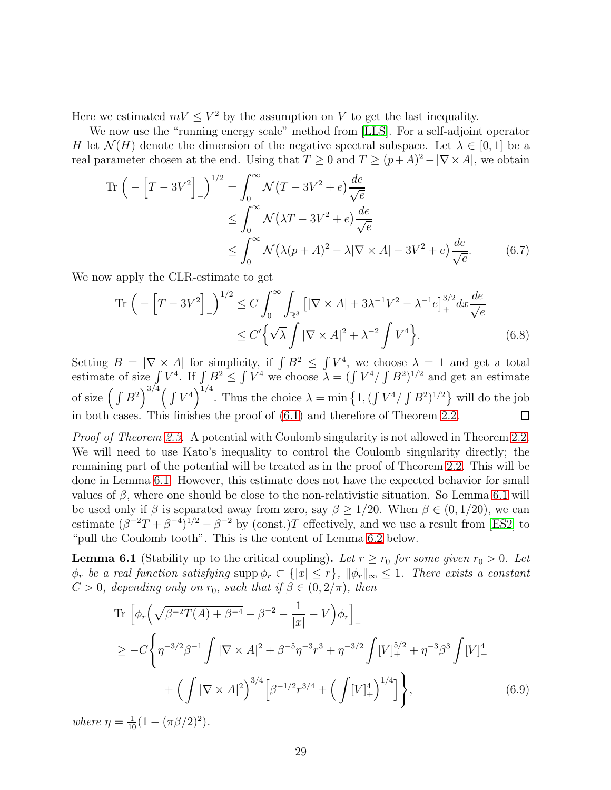Here we estimated  $mV \leq V^2$  by the assumption on V to get the last inequality.

We now use the "running energy scale" method from [\[LLS\]](#page-32-11). For a self-adjoint operator H let  $\mathcal{N}(H)$  denote the dimension of the negative spectral subspace. Let  $\lambda \in [0,1]$  be a real parameter chosen at the end. Using that  $T \geq 0$  and  $T \geq (p+A)^2 - |\nabla \times A|$ , we obtain

$$
\operatorname{Tr}\left(-\left[T-3V^2\right]_{-}\right)^{1/2} = \int_0^\infty \mathcal{N}(T-3V^2+e)\frac{de}{\sqrt{e}}
$$
  
\n
$$
\leq \int_0^\infty \mathcal{N}(\lambda T-3V^2+e)\frac{de}{\sqrt{e}}
$$
  
\n
$$
\leq \int_0^\infty \mathcal{N}(\lambda(p+A)^2-\lambda|\nabla\times A|-3V^2+e)\frac{de}{\sqrt{e}}.
$$
 (6.7)

We now apply the CLR-estimate to get

$$
\operatorname{Tr}\left(-\left[T-3V^2\right]_{-}\right)^{1/2} \le C \int_0^\infty \int_{\mathbb{R}^3} \left[|\nabla \times A| + 3\lambda^{-1}V^2 - \lambda^{-1}e\right]_+^{3/2} dx \frac{de}{\sqrt{e}}
$$
  

$$
\le C' \left\{\sqrt{\lambda} \int |\nabla \times A|^2 + \lambda^{-2} \int V^4\right\}.
$$
 (6.8)

Setting  $B = |\nabla \times A|$  for simplicity, if  $\int B^2 \leq \int V^4$ , we choose  $\lambda = 1$  and get a total estimate of size  $\int V^4$ . If  $\int B^2 \le \int V^4$  we choose  $\lambda = (\int V^4/\int B^2)^{1/2}$  and get an estimate of size  $\left(\int B^2\right)^{3/4} \left(\int V^4\right)^{1/4}$ . Thus the choice  $\lambda = \min\left\{1, \left(\int V^4 / \int B^2\right)^{1/2}\right\}$  will do the job in both cases. This finishes the proof of [\(6.1\)](#page-26-1) and therefore of Theorem [2.2.](#page-8-0)  $\Box$ 

Proof of Theorem [2.3.](#page-9-0) A potential with Coulomb singularity is not allowed in Theorem [2.2.](#page-8-0) We will need to use Kato's inequality to control the Coulomb singularity directly; the remaining part of the potential will be treated as in the proof of Theorem [2.2.](#page-8-0) This will be done in Lemma [6.1.](#page-28-0) However, this estimate does not have the expected behavior for small values of  $\beta$ , where one should be close to the non-relativistic situation. So Lemma [6.1](#page-28-0) will be used only if  $\beta$  is separated away from zero, say  $\beta \geq 1/20$ . When  $\beta \in (0, 1/20)$ , we can estimate  $(\beta^{-2}T + \beta^{-4})^{1/2} - \beta^{-2}$  by (const.)T effectively, and we use a result from [\[ES2\]](#page-32-14) to "pull the Coulomb tooth". This is the content of Lemma [6.2](#page-30-0) below.

<span id="page-28-0"></span>**Lemma 6.1** (Stability up to the critical coupling). Let  $r \ge r_0$  for some given  $r_0 > 0$ . Let  $\phi_r$  be a real function satisfying supp  $\phi_r \subset \{|x| \leq r\}$ ,  $\|\phi_r\|_{\infty} \leq 1$ . There exists a constant  $C > 0$ , depending only on  $r_0$ , such that if  $\beta \in (0, 2/\pi)$ , then

<span id="page-28-1"></span>Tr 
$$
\left[ \phi_r \left( \sqrt{\beta^{-2} T(A) + \beta^{-4}} - \beta^{-2} - \frac{1}{|x|} - V \right) \phi_r \right]_{-}
$$
  
\n
$$
\geq -C \left\{ \eta^{-3/2} \beta^{-1} \int |\nabla \times A|^2 + \beta^{-5} \eta^{-3} r^3 + \eta^{-3/2} \int [V]_{+}^{5/2} + \eta^{-3} \beta^3 \int [V]_{+}^{4} + \left( \int |\nabla \times A|^2 \right)^{3/4} \left[ \beta^{-1/2} r^{3/4} + \left( \int [V]_{+}^{4} \right)^{1/4} \right] \right\},
$$
\n(6.9)

where  $\eta = \frac{1}{10} (1 - (\pi \beta / 2)^2)$ .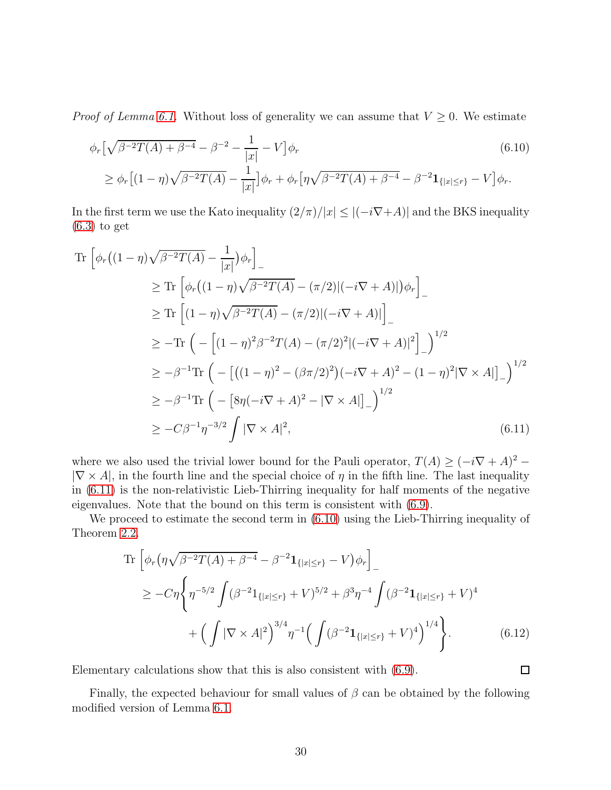*Proof of Lemma [6.1.](#page-28-0)* Without loss of generality we can assume that  $V \geq 0$ . We estimate

<span id="page-29-1"></span>
$$
\phi_r \left[ \sqrt{\beta^{-2} T(A) + \beta^{-4}} - \beta^{-2} - \frac{1}{|x|} - V \right] \phi_r
$$
\n
$$
\geq \phi_r \left[ (1 - \eta) \sqrt{\beta^{-2} T(A)} - \frac{1}{|x|} \right] \phi_r + \phi_r \left[ \eta \sqrt{\beta^{-2} T(A) + \beta^{-4}} - \beta^{-2} \mathbf{1}_{\{|x| \leq r\}} - V \right] \phi_r.
$$
\n(6.10)

In the first term we use the Kato inequality  $(2/\pi)/|x| \leq |(-i\nabla + A)|$  and the BKS inequality  $(6.3)$  to get

$$
\begin{split}\n\text{Tr}\left[\phi_r\big((1-\eta)\sqrt{\beta^{-2}T(A)}-\frac{1}{|x|}\big)\phi_r\right]_{-} \\
&\geq \text{Tr}\left[\phi_r\big((1-\eta)\sqrt{\beta^{-2}T(A)}-(\pi/2)|(-i\nabla+A)|\big)\phi_r\right]_{-} \\
&\geq \text{Tr}\left[(1-\eta)\sqrt{\beta^{-2}T(A)}-(\pi/2)|(-i\nabla+A)|\right]_{-} \\
&\geq -\text{Tr}\left(-\left[(1-\eta)^2\beta^{-2}T(A)-(\pi/2)^2|(-i\nabla+A)|^2\right]_{-}\right)^{1/2} \\
&\geq -\beta^{-1}\text{Tr}\left(-\left[\left((1-\eta)^2-(\beta\pi/2)^2\right)(-i\nabla+A)^2-(1-\eta)^2|\nabla\times A|\right]_{-}\right)^{1/2} \\
&\geq -\beta^{-1}\text{Tr}\left(-\left[8\eta(-i\nabla+A)^2-|\nabla\times A|\right]_{-}\right)^{1/2} \\
&\geq -C\beta^{-1}\eta^{-3/2}\int|\nabla\times A|^2,\n\end{split} \tag{6.11}
$$

where we also used the trivial lower bound for the Pauli operator,  $T(A) \geq (-i\nabla + A)^2$  –  $|\nabla \times A|$ , in the fourth line and the special choice of  $\eta$  in the fifth line. The last inequality in [\(6.11\)](#page-29-0) is the non-relativistic Lieb-Thirring inequality for half moments of the negative eigenvalues. Note that the bound on this term is consistent with [\(6.9\)](#page-28-1).

We proceed to estimate the second term in [\(6.10\)](#page-29-1) using the Lieb-Thirring inequality of Theorem [2.2.](#page-8-0)

Tr 
$$
\left[ \phi_r (\eta \sqrt{\beta^{-2} T(A) + \beta^{-4}} - \beta^{-2} \mathbf{1}_{\{|x| \le r\}} - V) \phi_r \right]
$$
  
\n
$$
\geq -C \eta \left\{ \eta^{-5/2} \int (\beta^{-2} \mathbf{1}_{\{|x| \le r\}} + V)^{5/2} + \beta^3 \eta^{-4} \int (\beta^{-2} \mathbf{1}_{\{|x| \le r\}} + V)^4 \right. \\ \left. + \left( \int |\nabla \times A|^2 \right)^{3/4} \eta^{-1} \left( \int (\beta^{-2} \mathbf{1}_{\{|x| \le r\}} + V)^4 \right)^{1/4} \right\}.
$$
\n(6.12)

<span id="page-29-0"></span> $\Box$ 

Elementary calculations show that this is also consistent with [\(6.9\)](#page-28-1).

Finally, the expected behaviour for small values of  $\beta$  can be obtained by the following modified version of Lemma [6.1.](#page-28-0)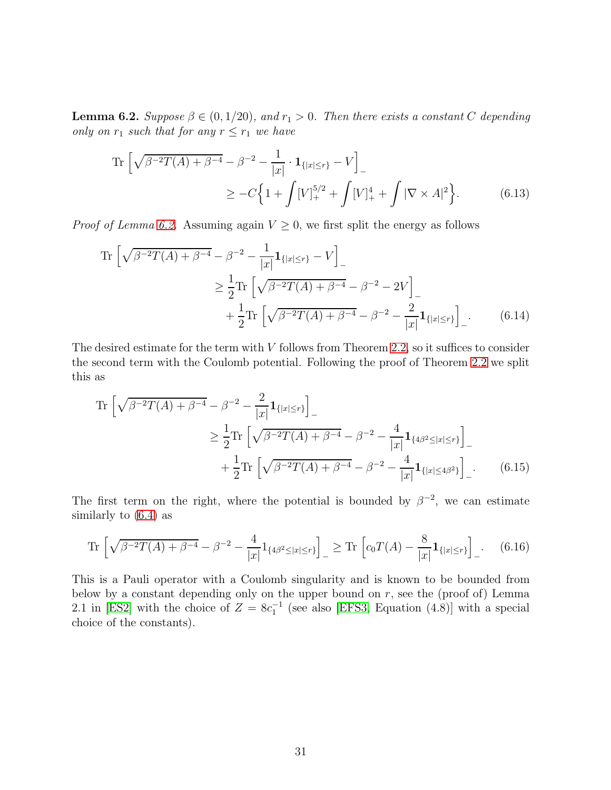<span id="page-30-0"></span>**Lemma 6.2.** Suppose  $\beta \in (0, 1/20)$ , and  $r_1 > 0$ . Then there exists a constant C depending only on  $r_1$  such that for any  $r \leq r_1$  we have

Tr 
$$
\left[\sqrt{\beta^{-2}T(A) + \beta^{-4}} - \beta^{-2} - \frac{1}{|x|} \cdot \mathbf{1}_{\{|x| \le r\}} - V\right]_{-}
$$
  
\n
$$
\ge -C \left\{ 1 + \int [V]_{+}^{5/2} + \int [V]_{+}^{4} + \int |\nabla \times A|^{2} \right\}.
$$
 (6.13)

*Proof of Lemma [6.2.](#page-30-0)* Assuming again  $V \geq 0$ , we first split the energy as follows

Tr 
$$
\left[\sqrt{\beta^{-2}T(A) + \beta^{-4}} - \beta^{-2} - \frac{1}{|x|} \mathbf{1}_{\{|x| \le r\}} - V\right]
$$
  
\n $\ge \frac{1}{2}$ Tr  $\left[\sqrt{\beta^{-2}T(A) + \beta^{-4}} - \beta^{-2} - 2V\right]$   
\n $+ \frac{1}{2}$ Tr  $\left[\sqrt{\beta^{-2}T(A) + \beta^{-4}} - \beta^{-2} - \frac{2}{|x|} \mathbf{1}_{\{|x| \le r\}}\right]$  (6.14)

The desired estimate for the term with  $V$  follows from Theorem [2.2,](#page-8-0) so it suffices to consider the second term with the Coulomb potential. Following the proof of Theorem [2.2](#page-8-0) we split this as

<span id="page-30-1"></span>
$$
\operatorname{Tr}\left[\sqrt{\beta^{-2}T(A)+\beta^{-4}}-\beta^{-2}-\frac{2}{|x|}\mathbf{1}_{\{|x|\leq r\}}\right]_{-}
$$
\n
$$
\geq \frac{1}{2}\operatorname{Tr}\left[\sqrt{\beta^{-2}T(A)+\beta^{-4}}-\beta^{-2}-\frac{4}{|x|}\mathbf{1}_{\{4\beta^{2}\leq |x|\leq r\}}\right]_{-}
$$
\n
$$
+\frac{1}{2}\operatorname{Tr}\left[\sqrt{\beta^{-2}T(A)+\beta^{-4}}-\beta^{-2}-\frac{4}{|x|}\mathbf{1}_{\{|x|\leq 4\beta^{2}\}}\right]_{-}.
$$
\n(6.15)

The first term on the right, where the potential is bounded by  $\beta^{-2}$ , we can estimate similarly to [\(6.4\)](#page-27-0) as

$$
\operatorname{Tr}\left[\sqrt{\beta^{-2}T(A)+\beta^{-4}}-\beta^{-2}-\frac{4}{|x|}1_{\{4\beta^2\leq |x|\leq r\}}\right]_{-} \geq \operatorname{Tr}\left[c_0T(A)-\frac{8}{|x|}1_{\{|x|\leq r\}}\right]_{-}.\tag{6.16}
$$

This is a Pauli operator with a Coulomb singularity and is known to be bounded from below by a constant depending only on the upper bound on  $r$ , see the (proof of) Lemma 2.1 in [\[ES2\]](#page-32-14) with the choice of  $Z = 8c_1^{-1}$  (see also [\[EFS3,](#page-32-7) Equation (4.8)] with a special choice of the constants).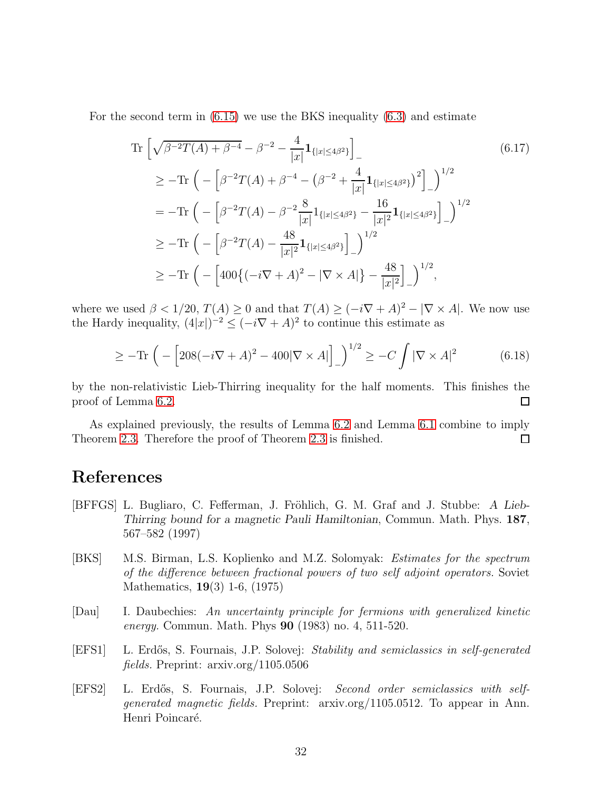For the second term in [\(6.15\)](#page-30-1) we use the BKS inequality [\(6.3\)](#page-26-3) and estimate

Tr 
$$
\left[\sqrt{\beta^{-2}T(A) + \beta^{-4}} - \beta^{-2} - \frac{4}{|x|} \mathbf{1}_{\{|x| \le 4\beta^2\}}\right]_{-}
$$
  
\n $\ge -\text{Tr}\left(-\left[\beta^{-2}T(A) + \beta^{-4} - (\beta^{-2} + \frac{4}{|x|} \mathbf{1}_{\{|x| \le 4\beta^2\}})^2\right]_{-}\right)^{1/2}$   
\n $= -\text{Tr}\left(-\left[\beta^{-2}T(A) - \beta^{-2}\frac{8}{|x|} \mathbf{1}_{\{|x| \le 4\beta^2\}} - \frac{16}{|x|^2} \mathbf{1}_{\{|x| \le 4\beta^2\}}\right]_{-}\right)^{1/2}$   
\n $\ge -\text{Tr}\left(-\left[\beta^{-2}T(A) - \frac{48}{|x|^2} \mathbf{1}_{\{|x| \le 4\beta^2\}}\right]_{-}\right)^{1/2}$   
\n $\ge -\text{Tr}\left(-\left[400\{(-i\nabla + A)^2 - |\nabla \times A|\} - \frac{48}{|x|^2}\right]_{-}\right)^{1/2},$  (6.17)

where we used  $\beta < 1/20$ ,  $T(A) \ge 0$  and that  $T(A) \ge (-i\nabla + A)^2 - |\nabla \times A|$ . We now use the Hardy inequality,  $(4|x|)^{-2} \leq (-i\nabla + A)^2$  to continue this estimate as

$$
\geq -\text{Tr}\left(-\left[208(-i\nabla + A)^2 - 400|\nabla \times A|\right]_-\right)^{1/2} \geq -C\int |\nabla \times A|^2\tag{6.18}
$$

by the non-relativistic Lieb-Thirring inequality for the half moments. This finishes the proof of Lemma [6.2.](#page-30-0)  $\Box$ 

As explained previously, the results of Lemma [6.2](#page-30-0) and Lemma [6.1](#page-28-0) combine to imply Theorem [2.3.](#page-9-0) Therefore the proof of Theorem [2.3](#page-9-0) is finished.  $\Box$ 

# References

- <span id="page-31-3"></span>[BFFGS] L. Bugliaro, C. Fefferman, J. Fröhlich, G. M. Graf and J. Stubbe: A Lieb-Thirring bound for a magnetic Pauli Hamiltonian, Commun. Math. Phys. 187, 567–582 (1997)
- <span id="page-31-4"></span>[BKS] M.S. Birman, L.S. Koplienko and M.Z. Solomyak: Estimates for the spectrum of the difference between fractional powers of two self adjoint operators. Soviet Mathematics, 19(3) 1-6, (1975)
- <span id="page-31-2"></span>[Dau] I. Daubechies: An uncertainty principle for fermions with generalized kinetic energy. Commun. Math. Phys 90 (1983) no. 4, 511-520.
- <span id="page-31-0"></span>[EFS1] L. Erd˝os, S. Fournais, J.P. Solovej: Stability and semiclassics in self-generated fields. Preprint: arxiv.org/1105.0506
- <span id="page-31-1"></span>[EFS2] L. Erdős, S. Fournais, J.P. Solovej: Second order semiclassics with selfgenerated magnetic fields. Preprint: arxiv.org/1105.0512. To appear in Ann. Henri Poincaré.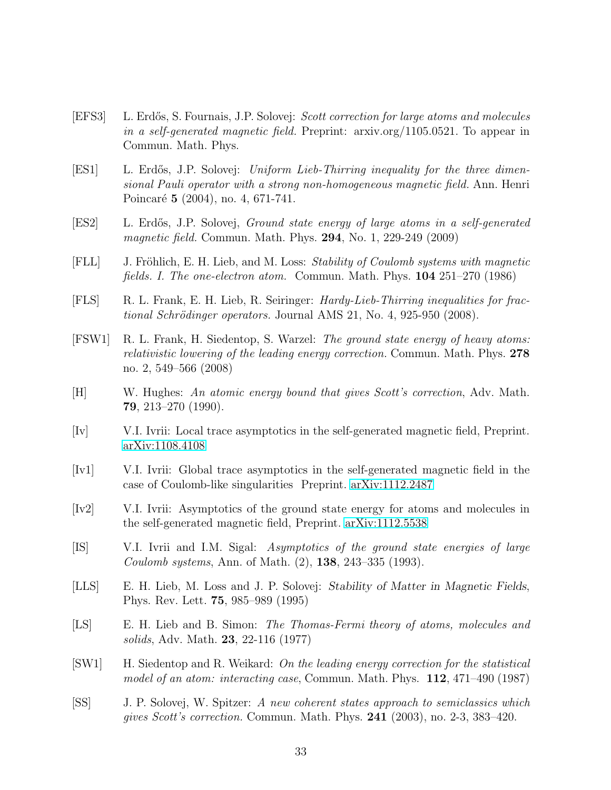- <span id="page-32-7"></span>[EFS3] L. Erd˝os, S. Fournais, J.P. Solovej: Scott correction for large atoms and molecules in a self-generated magnetic field. Preprint: arxiv.org/1105.0521. To appear in Commun. Math. Phys.
- <span id="page-32-13"></span>[ES1] L. Erdős, J.P. Solovej: Uniform Lieb-Thirring inequality for the three dimensional Pauli operator with a strong non-homogeneous magnetic field. Ann. Henri Poincaré 5 (2004), no. 4, 671-741.
- <span id="page-32-14"></span>[ES2] L. Erd˝os, J.P. Solovej, Ground state energy of large atoms in a self-generated magnetic field. Commun. Math. Phys. **294**, No. 1, 229-249 (2009)
- <span id="page-32-0"></span>[FLL] J. Fröhlich, E. H. Lieb, and M. Loss: Stability of Coulomb systems with magnetic fields. I. The one-electron atom. Commun. Math. Phys. 104 251–270 (1986)
- <span id="page-32-12"></span>[FLS] R. L. Frank, E. H. Lieb, R. Seiringer: Hardy-Lieb-Thirring inequalities for frac $tional Schrödinger operators. Journal AMS 21, No. 4, 925-950 (2008).$
- <span id="page-32-6"></span>[FSW1] R. L. Frank, H. Siedentop, S. Warzel: The ground state energy of heavy atoms: relativistic lowering of the leading energy correction. Commun. Math. Phys. 278 no. 2, 549–566 (2008)
- <span id="page-32-2"></span>[H] W. Hughes: An atomic energy bound that gives Scott's correction, Adv. Math. 79, 213–270 (1990).
- <span id="page-32-8"></span>[Iv] V.I. Ivrii: Local trace asymptotics in the self-generated magnetic field, Preprint. [arXiv:1108.4108](http://arxiv.org/abs/1108.4108)
- <span id="page-32-9"></span>[Iv1] V.I. Ivrii: Global trace asymptotics in the self-generated magnetic field in the case of Coulomb-like singularities Preprint. [arXiv:1112.2487](http://arxiv.org/abs/1112.2487)
- <span id="page-32-10"></span>[Iv2] V.I. Ivrii: Asymptotics of the ground state energy for atoms and molecules in the self-generated magnetic field, Preprint. [arXiv:1112.5538](http://arxiv.org/abs/1112.5538)
- <span id="page-32-4"></span>[IS] V.I. Ivrii and I.M. Sigal: Asymptotics of the ground state energies of large Coulomb systems, Ann. of Math. (2), 138, 243–335 (1993).
- <span id="page-32-11"></span>[LLS] E. H. Lieb, M. Loss and J. P. Solovej: Stability of Matter in Magnetic Fields, Phys. Rev. Lett. 75, 985–989 (1995)
- <span id="page-32-1"></span>[LS] E. H. Lieb and B. Simon: The Thomas-Fermi theory of atoms, molecules and solids, Adv. Math. 23, 22-116 (1977)
- <span id="page-32-3"></span>[SW1] H. Siedentop and R. Weikard: On the leading energy correction for the statistical model of an atom: interacting case, Commun. Math. Phys. 112, 471–490 (1987)
- <span id="page-32-5"></span>[SS] J. P. Solovej, W. Spitzer: A new coherent states approach to semiclassics which gives Scott's correction. Commun. Math. Phys. 241 (2003), no. 2-3, 383–420.